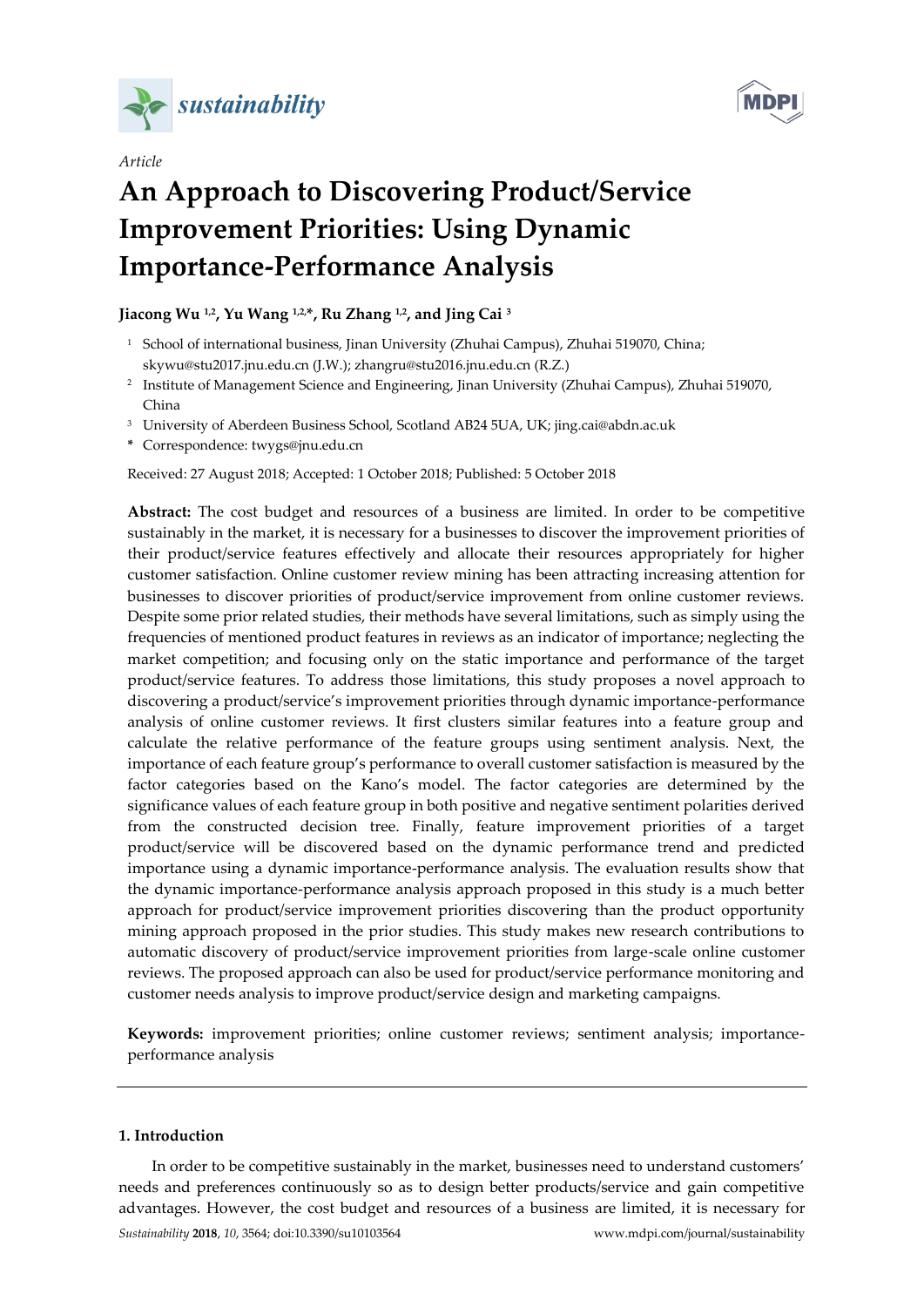



# *Article* **An Approach to Discovering Product/Service Improvement Priorities: Using Dynamic Importance-Performance Analysis**

# **Jiacong Wu 1,2, Yu Wang 1,2,\*, Ru Zhang 1,2 , and Jing Cai <sup>3</sup>**

- <sup>1</sup> School of international business, Jinan University (Zhuhai Campus), Zhuhai 519070, China; skywu@stu2017.jnu.edu.cn (J.W.); zhangru@stu2016.jnu.edu.cn (R.Z.)
- 2 Institute of Management Science and Engineering, Jinan University (Zhuhai Campus), Zhuhai 519070, China
- <sup>3</sup> University of Aberdeen Business School, Scotland AB24 5UA, UK; jing.cai@abdn.ac.uk
- **\*** Correspondence: twygs@jnu.edu.cn

Received: 27 August 2018; Accepted: 1 October 2018; Published: 5 October 2018

**Abstract:** The cost budget and resources of a business are limited. In order to be competitive sustainably in the market, it is necessary for a businesses to discover the improvement priorities of their product/service features effectively and allocate their resources appropriately for higher customer satisfaction. Online customer review mining has been attracting increasing attention for businesses to discover priorities of product/service improvement from online customer reviews. Despite some prior related studies, their methods have several limitations, such as simply using the frequencies of mentioned product features in reviews as an indicator of importance; neglecting the market competition; and focusing only on the static importance and performance of the target product/service features. To address those limitations, this study proposes a novel approach to discovering a product/service's improvement priorities through dynamic importance-performance analysis of online customer reviews. It first clusters similar features into a feature group and calculate the relative performance of the feature groups using sentiment analysis. Next, the importance of each feature group's performance to overall customer satisfaction is measured by the factor categories based on the Kano's model. The factor categories are determined by the significance values of each feature group in both positive and negative sentiment polarities derived from the constructed decision tree. Finally, feature improvement priorities of a target product/service will be discovered based on the dynamic performance trend and predicted importance using a dynamic importance-performance analysis. The evaluation results show that the dynamic importance-performance analysis approach proposed in this study is a much better approach for product/service improvement priorities discovering than the product opportunity mining approach proposed in the prior studies. This study makes new research contributions to automatic discovery of product/service improvement priorities from large-scale online customer reviews. The proposed approach can also be used for product/service performance monitoring and customer needs analysis to improve product/service design and marketing campaigns.

**Keywords:** improvement priorities; online customer reviews; sentiment analysis; importanceperformance analysis

# **1. Introduction**

*Sustainability* **2018**, *10*, 3564; doi:10.3390/su10103564 www.mdpi.com/journal/sustainability In order to be competitive sustainably in the market, businesses need to understand customers' needs and preferences continuously so as to design better products/service and gain competitive advantages. However, the cost budget and resources of a business are limited, it is necessary for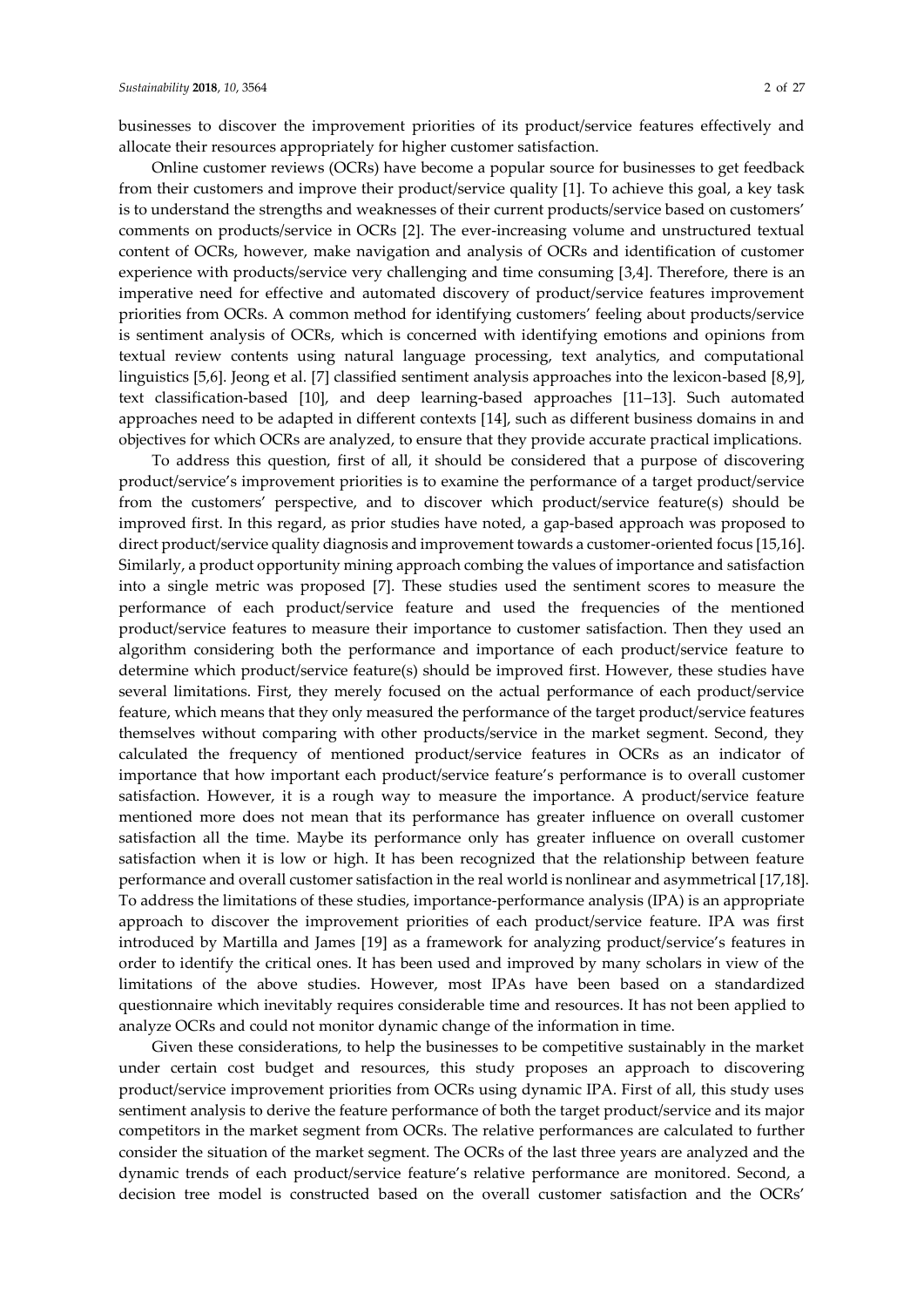businesses to discover the improvement priorities of its product/service features effectively and allocate their resources appropriately for higher customer satisfaction.

Online customer reviews (OCRs) have become a popular source for businesses to get feedback from their customers and improve their product/service quality [1]. To achieve this goal, a key task is to understand the strengths and weaknesses of their current products/service based on customers' comments on products/service in OCRs [2]. The ever-increasing volume and unstructured textual content of OCRs, however, make navigation and analysis of OCRs and identification of customer experience with products/service very challenging and time consuming [3,4]. Therefore, there is an imperative need for effective and automated discovery of product/service features improvement priorities from OCRs. A common method for identifying customers' feeling about products/service is sentiment analysis of OCRs, which is concerned with identifying emotions and opinions from textual review contents using natural language processing, text analytics, and computational linguistics [5,6]. Jeong et al. [7] classified sentiment analysis approaches into the lexicon-based [8,9], text classification-based [10], and deep learning-based approaches [11–13]. Such automated approaches need to be adapted in different contexts [14], such as different business domains in and objectives for which OCRs are analyzed, to ensure that they provide accurate practical implications.

To address this question, first of all, it should be considered that a purpose of discovering product/service's improvement priorities is to examine the performance of a target product/service from the customers' perspective, and to discover which product/service feature(s) should be improved first. In this regard, as prior studies have noted, a gap-based approach was proposed to direct product/service quality diagnosis and improvement towards a customer-oriented focus [15,16]. Similarly, a product opportunity mining approach combing the values of importance and satisfaction into a single metric was proposed [7]. These studies used the sentiment scores to measure the performance of each product/service feature and used the frequencies of the mentioned product/service features to measure their importance to customer satisfaction. Then they used an algorithm considering both the performance and importance of each product/service feature to determine which product/service feature(s) should be improved first. However, these studies have several limitations. First, they merely focused on the actual performance of each product/service feature, which means that they only measured the performance of the target product/service features themselves without comparing with other products/service in the market segment. Second, they calculated the frequency of mentioned product/service features in OCRs as an indicator of importance that how important each product/service feature's performance is to overall customer satisfaction. However, it is a rough way to measure the importance. A product/service feature mentioned more does not mean that its performance has greater influence on overall customer satisfaction all the time. Maybe its performance only has greater influence on overall customer satisfaction when it is low or high. It has been recognized that the relationship between feature performance and overall customer satisfaction in the real world is nonlinear and asymmetrical [17,18]. To address the limitations of these studies, importance-performance analysis (IPA) is an appropriate approach to discover the improvement priorities of each product/service feature. IPA was first introduced by Martilla and James [19] as a framework for analyzing product/service's features in order to identify the critical ones. It has been used and improved by many scholars in view of the limitations of the above studies. However, most IPAs have been based on a standardized questionnaire which inevitably requires considerable time and resources. It has not been applied to analyze OCRs and could not monitor dynamic change of the information in time.

Given these considerations, to help the businesses to be competitive sustainably in the market under certain cost budget and resources, this study proposes an approach to discovering product/service improvement priorities from OCRs using dynamic IPA. First of all, this study uses sentiment analysis to derive the feature performance of both the target product/service and its major competitors in the market segment from OCRs. The relative performances are calculated to further consider the situation of the market segment. The OCRs of the last three years are analyzed and the dynamic trends of each product/service feature's relative performance are monitored. Second, a decision tree model is constructed based on the overall customer satisfaction and the OCRs'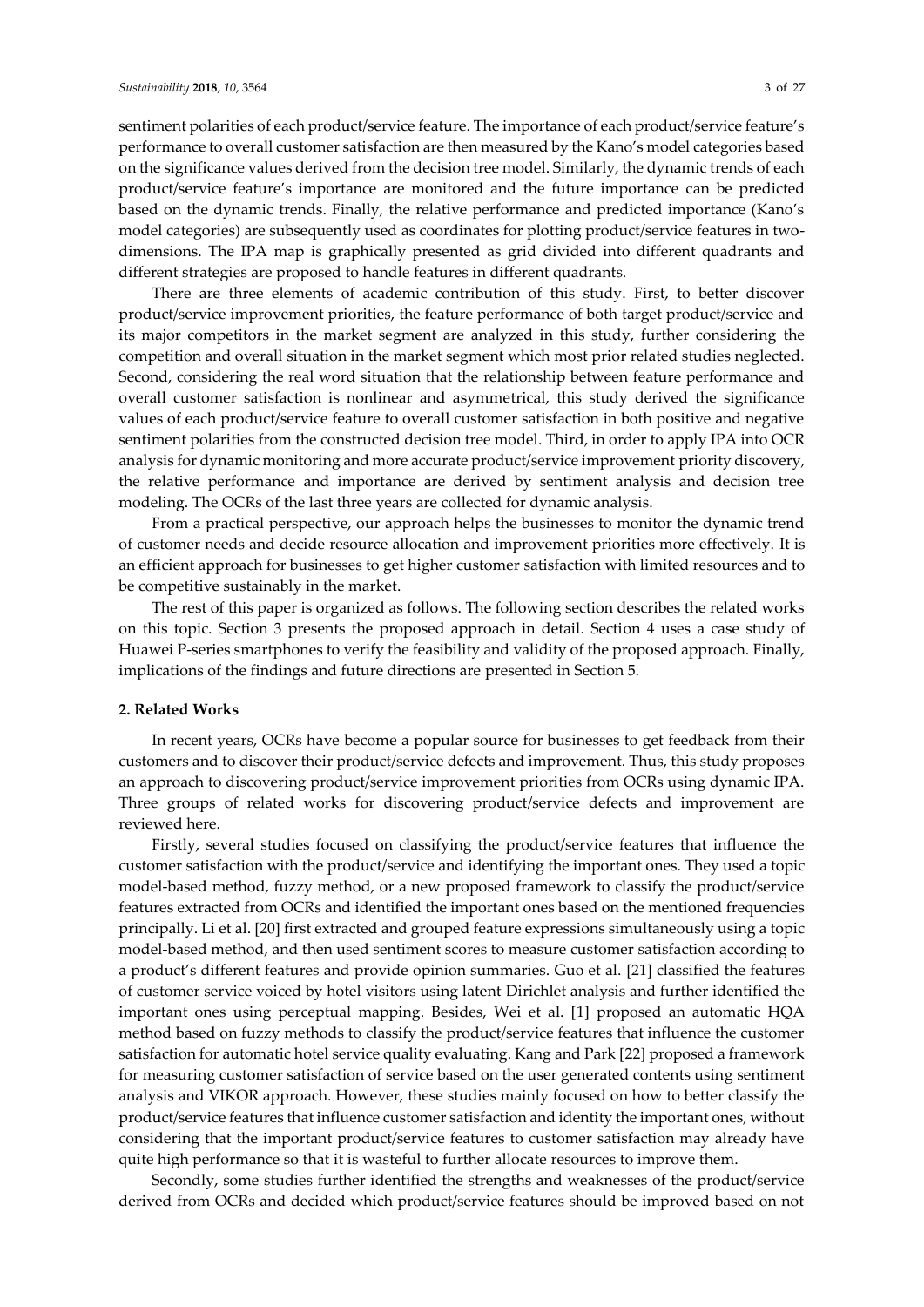sentiment polarities of each product/service feature. The importance of each product/service feature's performance to overall customer satisfaction are then measured by the Kano's model categories based on the significance values derived from the decision tree model. Similarly, the dynamic trends of each product/service feature's importance are monitored and the future importance can be predicted based on the dynamic trends. Finally, the relative performance and predicted importance (Kano's model categories) are subsequently used as coordinates for plotting product/service features in twodimensions. The IPA map is graphically presented as grid divided into different quadrants and different strategies are proposed to handle features in different quadrants.

There are three elements of academic contribution of this study. First, to better discover product/service improvement priorities, the feature performance of both target product/service and its major competitors in the market segment are analyzed in this study, further considering the competition and overall situation in the market segment which most prior related studies neglected. Second, considering the real word situation that the relationship between feature performance and overall customer satisfaction is nonlinear and asymmetrical, this study derived the significance values of each product/service feature to overall customer satisfaction in both positive and negative sentiment polarities from the constructed decision tree model. Third, in order to apply IPA into OCR analysis for dynamic monitoring and more accurate product/service improvement priority discovery, the relative performance and importance are derived by sentiment analysis and decision tree modeling. The OCRs of the last three years are collected for dynamic analysis.

From a practical perspective, our approach helps the businesses to monitor the dynamic trend of customer needs and decide resource allocation and improvement priorities more effectively. It is an efficient approach for businesses to get higher customer satisfaction with limited resources and to be competitive sustainably in the market.

The rest of this paper is organized as follows. The following section describes the related works on this topic. Section 3 presents the proposed approach in detail. Section 4 uses a case study of Huawei P-series smartphones to verify the feasibility and validity of the proposed approach. Finally, implications of the findings and future directions are presented in Section 5.

# **2. Related Works**

In recent years, OCRs have become a popular source for businesses to get feedback from their customers and to discover their product/service defects and improvement. Thus, this study proposes an approach to discovering product/service improvement priorities from OCRs using dynamic IPA. Three groups of related works for discovering product/service defects and improvement are reviewed here.

Firstly, several studies focused on classifying the product/service features that influence the customer satisfaction with the product/service and identifying the important ones. They used a topic model-based method, fuzzy method, or a new proposed framework to classify the product/service features extracted from OCRs and identified the important ones based on the mentioned frequencies principally. Li et al. [20] first extracted and grouped feature expressions simultaneously using a topic model-based method, and then used sentiment scores to measure customer satisfaction according to a product's different features and provide opinion summaries. Guo et al. [21] classified the features of customer service voiced by hotel visitors using latent Dirichlet analysis and further identified the important ones using perceptual mapping. Besides, Wei et al. [1] proposed an automatic HQA method based on fuzzy methods to classify the product/service features that influence the customer satisfaction for automatic hotel service quality evaluating. Kang and Park [22] proposed a framework for measuring customer satisfaction of service based on the user generated contents using sentiment analysis and VIKOR approach. However, these studies mainly focused on how to better classify the product/service features that influence customer satisfaction and identity the important ones, without considering that the important product/service features to customer satisfaction may already have quite high performance so that it is wasteful to further allocate resources to improve them.

Secondly, some studies further identified the strengths and weaknesses of the product/service derived from OCRs and decided which product/service features should be improved based on not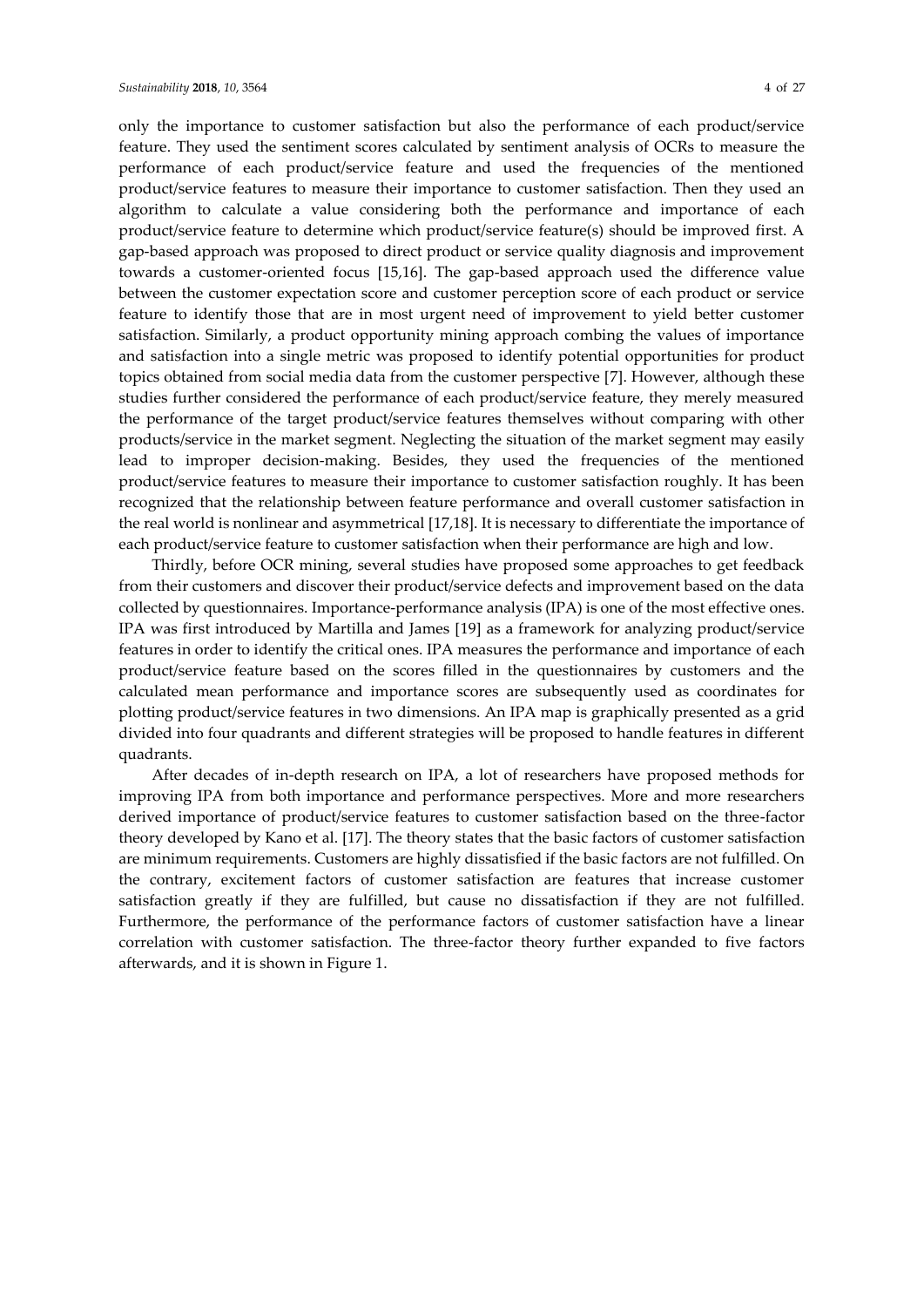only the importance to customer satisfaction but also the performance of each product/service feature. They used the sentiment scores calculated by sentiment analysis of OCRs to measure the performance of each product/service feature and used the frequencies of the mentioned product/service features to measure their importance to customer satisfaction. Then they used an algorithm to calculate a value considering both the performance and importance of each product/service feature to determine which product/service feature(s) should be improved first. A gap-based approach was proposed to direct product or service quality diagnosis and improvement towards a customer-oriented focus [15,16]. The gap-based approach used the difference value between the customer expectation score and customer perception score of each product or service feature to identify those that are in most urgent need of improvement to yield better customer satisfaction. Similarly, a product opportunity mining approach combing the values of importance and satisfaction into a single metric was proposed to identify potential opportunities for product topics obtained from social media data from the customer perspective [7]. However, although these studies further considered the performance of each product/service feature, they merely measured the performance of the target product/service features themselves without comparing with other products/service in the market segment. Neglecting the situation of the market segment may easily lead to improper decision-making. Besides, they used the frequencies of the mentioned product/service features to measure their importance to customer satisfaction roughly. It has been recognized that the relationship between feature performance and overall customer satisfaction in the real world is nonlinear and asymmetrical [17,18]. It is necessary to differentiate the importance of each product/service feature to customer satisfaction when their performance are high and low.

Thirdly, before OCR mining, several studies have proposed some approaches to get feedback from their customers and discover their product/service defects and improvement based on the data collected by questionnaires. Importance-performance analysis (IPA) is one of the most effective ones. IPA was first introduced by Martilla and James [19] as a framework for analyzing product/service features in order to identify the critical ones. IPA measures the performance and importance of each product/service feature based on the scores filled in the questionnaires by customers and the calculated mean performance and importance scores are subsequently used as coordinates for plotting product/service features in two dimensions. An IPA map is graphically presented as a grid divided into four quadrants and different strategies will be proposed to handle features in different quadrants.

After decades of in-depth research on IPA, a lot of researchers have proposed methods for improving IPA from both importance and performance perspectives. More and more researchers derived importance of product/service features to customer satisfaction based on the three-factor theory developed by Kano et al. [17]. The theory states that the basic factors of customer satisfaction are minimum requirements. Customers are highly dissatisfied if the basic factors are not fulfilled. On the contrary, excitement factors of customer satisfaction are features that increase customer satisfaction greatly if they are fulfilled, but cause no dissatisfaction if they are not fulfilled. Furthermore, the performance of the performance factors of customer satisfaction have a linear correlation with customer satisfaction. The three-factor theory further expanded to five factors afterwards, and it is shown in Figure 1.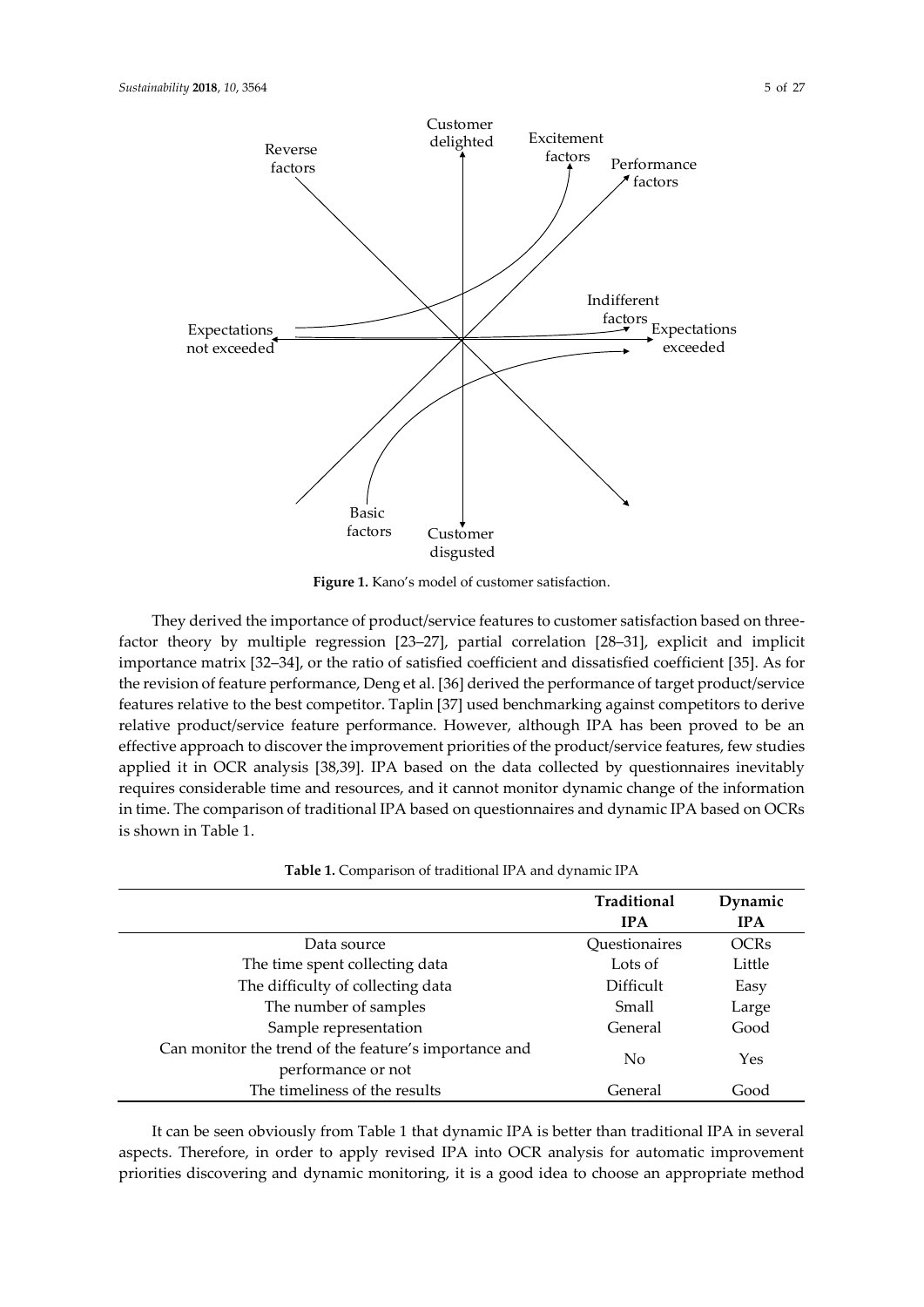

**Figure 1.** Kano's model of customer satisfaction.

They derived the importance of product/service features to customer satisfaction based on threefactor theory by multiple regression [23–27], partial correlation [28–31], explicit and implicit importance matrix [32–34], or the ratio of satisfied coefficient and dissatisfied coefficient [35]. As for the revision of feature performance, Deng et al. [36] derived the performance of target product/service features relative to the best competitor. Taplin [37] used benchmarking against competitors to derive relative product/service feature performance. However, although IPA has been proved to be an effective approach to discover the improvement priorities of the product/service features, few studies applied it in OCR analysis [38,39]. IPA based on the data collected by questionnaires inevitably requires considerable time and resources, and it cannot monitor dynamic change of the information in time. The comparison of traditional IPA based on questionnaires and dynamic IPA based on OCRs is shown in Table 1.

**Table 1.** Comparison of traditional IPA and dynamic IPA

|                                                       | Traditional    | Dynamic     |
|-------------------------------------------------------|----------------|-------------|
|                                                       | <b>IPA</b>     | <b>IPA</b>  |
| Data source                                           | Questionaires  | <b>OCRs</b> |
| The time spent collecting data                        | Lots of        | Little      |
| The difficulty of collecting data                     | Difficult      | Easy        |
| The number of samples                                 | Small          | Large       |
| Sample representation                                 | General        | Good        |
| Can monitor the trend of the feature's importance and | N <sub>0</sub> | Yes         |
| performance or not                                    |                |             |
| The timeliness of the results                         | General        | Good        |

It can be seen obviously from Table 1 that dynamic IPA is better than traditional IPA in several aspects. Therefore, in order to apply revised IPA into OCR analysis for automatic improvement priorities discovering and dynamic monitoring, it is a good idea to choose an appropriate method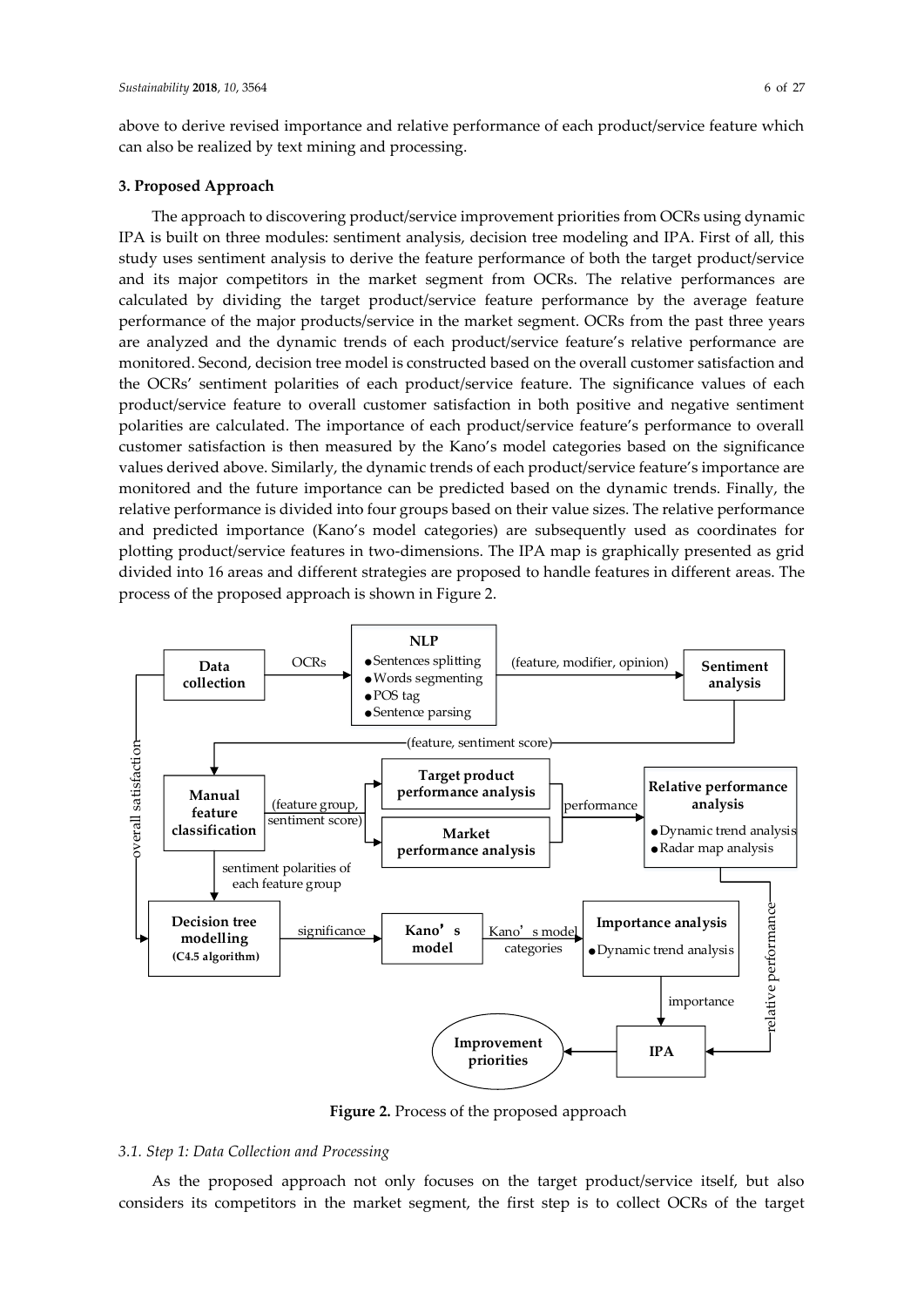above to derive revised importance and relative performance of each product/service feature which can also be realized by text mining and processing.

# **3. Proposed Approach**

The approach to discovering product/service improvement priorities from OCRs using dynamic IPA is built on three modules: sentiment analysis, decision tree modeling and IPA. First of all, this study uses sentiment analysis to derive the feature performance of both the target product/service and its major competitors in the market segment from OCRs. The relative performances are calculated by dividing the target product/service feature performance by the average feature performance of the major products/service in the market segment. OCRs from the past three years are analyzed and the dynamic trends of each product/service feature's relative performance are monitored. Second, decision tree model is constructed based on the overall customer satisfaction and the OCRs' sentiment polarities of each product/service feature. The significance values of each product/service feature to overall customer satisfaction in both positive and negative sentiment polarities are calculated. The importance of each product/service feature's performance to overall customer satisfaction is then measured by the Kano's model categories based on the significance values derived above. Similarly, the dynamic trends of each product/service feature's importance are monitored and the future importance can be predicted based on the dynamic trends. Finally, the relative performance is divided into four groups based on their value sizes. The relative performance and predicted importance (Kano's model categories) are subsequently used as coordinates for plotting product/service features in two-dimensions. The IPA map is graphically presented as grid divided into 16 areas and different strategies are proposed to handle features in different areas. The process of the proposed approach is shown in Figure 2.



**Figure 2.** Process of the proposed approach

# *3.1. Step 1: Data Collection and Processing*

As the proposed approach not only focuses on the target product/service itself, but also considers its competitors in the market segment, the first step is to collect OCRs of the target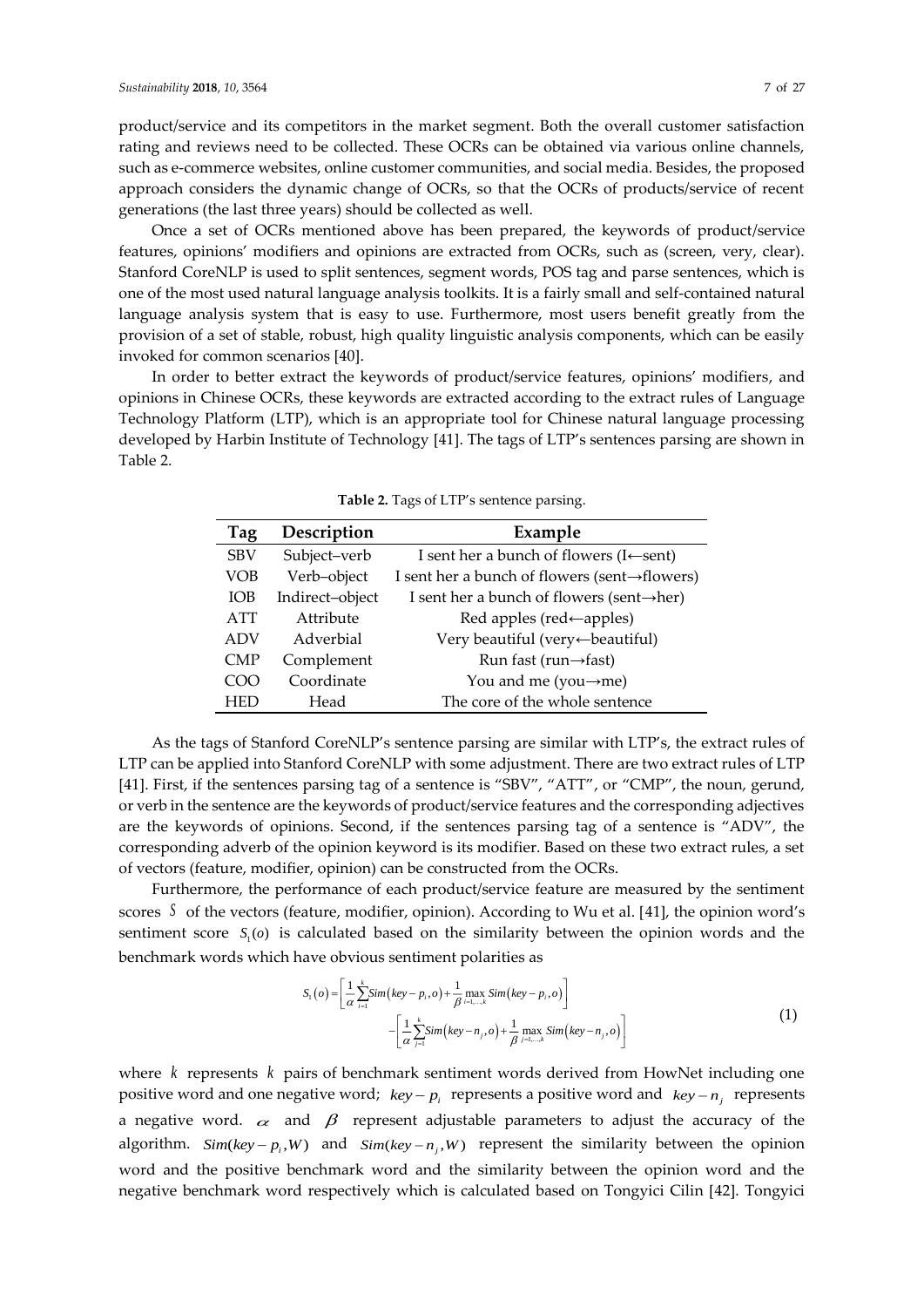product/service and its competitors in the market segment. Both the overall customer satisfaction rating and reviews need to be collected. These OCRs can be obtained via various online channels, such as e-commerce websites, online customer communities, and social media. Besides, the proposed approach considers the dynamic change of OCRs, so that the OCRs of products/service of recent generations (the last three years) should be collected as well.

Once a set of OCRs mentioned above has been prepared, the keywords of product/service features, opinions' modifiers and opinions are extracted from OCRs, such as (screen, very, clear). Stanford CoreNLP is used to split sentences, segment words, POS tag and parse sentences, which is one of the most used natural language analysis toolkits. It is a fairly small and self-contained natural language analysis system that is easy to use. Furthermore, most users benefit greatly from the provision of a set of stable, robust, high quality linguistic analysis components, which can be easily invoked for common scenarios [40].

In order to better extract the keywords of product/service features, opinions' modifiers, and opinions in Chinese OCRs, these keywords are extracted according to the extract rules of Language Technology Platform (LTP), which is an appropriate tool for Chinese natural language processing developed by Harbin Institute of Technology [41]. The tags of LTP's sentences parsing are shown in Table 2.

| Tag        | Description     | Example                                                    |
|------------|-----------------|------------------------------------------------------------|
| <b>SBV</b> | Subject-verb    | I sent her a bunch of flowers (I $\leftarrow$ sent)        |
| VOB        | Verb-object     | I sent her a bunch of flowers (sent $\rightarrow$ flowers) |
| <b>IOB</b> | Indirect-object | I sent her a bunch of flowers (sent $\rightarrow$ her)     |
| <b>ATT</b> | Attribute       | Red apples (red $\leftarrow$ apples)                       |
| <b>ADV</b> | Adverbial       | Very beautiful (very-beautiful)                            |
| <b>CMP</b> | Complement      | Run fast (run $\rightarrow$ fast)                          |
| റററ        | Coordinate      | You and me (you $\rightarrow$ me)                          |
| HED        | Head            | The core of the whole sentence                             |

**Table 2.** Tags of LTP's sentence parsing.

As the tags of Stanford CoreNLP's sentence parsing are similar with LTP's, the extract rules of LTP can be applied into Stanford CoreNLP with some adjustment. There are two extract rules of LTP [41]. First, if the sentences parsing tag of a sentence is "SBV", "ATT", or "CMP", the noun, gerund, or verb in the sentence are the keywords of product/service features and the corresponding adjectives are the keywords of opinions. Second, if the sentences parsing tag of a sentence is "ADV", the corresponding adverb of the opinion keyword is its modifier. Based on these two extract rules, a set of vectors (feature, modifier, opinion) can be constructed from the OCRs.

Furthermore, the performance of each product/service feature are measured by the sentiment scores S of the vectors (feature, modifier, opinion). According to Wu et al. [41], the opinion word's sentiment score  $S_1(o)$  is calculated based on the similarity between the opinion words and the benchmark words which have obvious sentiment polarities as

$$
S_{1}(o) = \left[\frac{1}{\alpha} \sum_{i=1}^{k} Sim(key - p_{i}, o) + \frac{1}{\beta} \max_{i=1,...,k} Sim(key - p_{i}, o)\right] - \left[\frac{1}{\alpha} \sum_{j=1}^{k} Sim(key - n_{j}, o) + \frac{1}{\beta} \max_{j=1,...,k} Sim(key - n_{j}, o)\right]
$$
(1)

where k represents k pairs of benchmark sentiment words derived from HowNet including one positive word and one negative word;  $key - p_i$  represents a positive word and  $key - n_j$  represents a negative word.  $\alpha$  and  $\beta$  represent adjustable parameters to adjust the accuracy of the algorithm. *Sim*( $key - p_i$ , *W*) and *Sim*( $key - n_j$ , *W*) represent the similarity between the opinion word and the positive benchmark word and the similarity between the opinion word and the negative benchmark word respectively which is calculated based on Tongyici Cilin [42]. Tongyici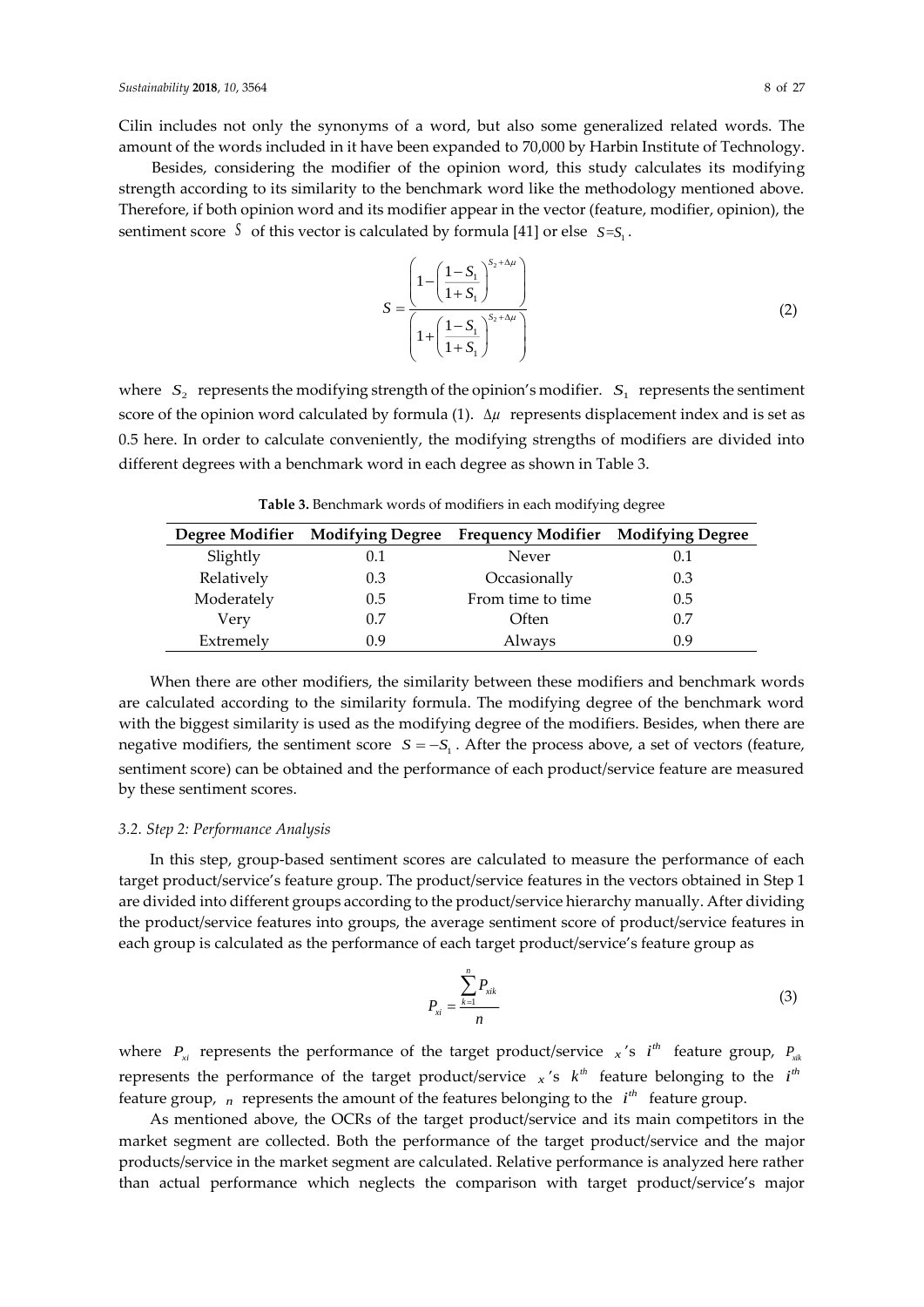Cilin includes not only the synonyms of a word, but also some generalized related words. The amount of the words included in it have been expanded to 70,000 by Harbin Institute of Technology.

Besides, considering the modifier of the opinion word, this study calculates its modifying strength according to its similarity to the benchmark word like the methodology mentioned above. Therefore, if both opinion word and its modifier appear in the vector (feature, modifier, opinion), the sentiment score  $S$  of this vector is calculated by formula [41] or else  $S=S<sub>1</sub>$ .

$$
S = \frac{\left(1 - \left(\frac{1 - S_1}{1 + S_1}\right)^{S_2 + \Delta \mu}\right)}{1 + \left(\frac{1 - S_1}{1 + S_1}\right)^{S_2 + \Delta \mu}}
$$
(2)

where  $S_2$  represents the modifying strength of the opinion's modifier.  $S_1$  represents the sentiment score of the opinion word calculated by formula (1).  $\Delta \mu$  represents displacement index and is set as 0.5 here. In order to calculate conveniently, the modifying strengths of modifiers are divided into different degrees with a benchmark word in each degree as shown in Table 3.

|            | Degree Modifier Modifying Degree | <b>Frequency Modifier</b> | <b>Modifying Degree</b> |
|------------|----------------------------------|---------------------------|-------------------------|
| Slightly   | $\rm 0.1$                        | Never                     | 0.1                     |
| Relatively | 0.3                              | Occasionally              | 0.3                     |
| Moderately | 0.5                              | From time to time         | 0.5                     |
| Very       | 0.7                              | Often                     | 0.7                     |
| Extremely  | () 9                             | Always                    | O 9                     |

**Table 3.** Benchmark words of modifiers in each modifying degree

When there are other modifiers, the similarity between these modifiers and benchmark words are calculated according to the similarity formula. The modifying degree of the benchmark word with the biggest similarity is used as the modifying degree of the modifiers. Besides, when there are negative modifiers, the sentiment score  $S = -S_1$ . After the process above, a set of vectors (feature, sentiment score) can be obtained and the performance of each product/service feature are measured by these sentiment scores.

### *3.2. Step 2: Performance Analysis*

In this step, group-based sentiment scores are calculated to measure the performance of each target product/service's feature group. The product/service features in the vectors obtained in Step 1 are divided into different groups according to the product/service hierarchy manually. After dividing the product/service features into groups, the average sentiment score of product/service features in each group is calculated as the performance of each target product/service's feature group as

$$
P_{xi} = \frac{\sum_{k=1}^{n} P_{xik}}{n} \tag{3}
$$

where  $P_{xi}$  represents the performance of the target product/service  $x$ 's  $i$ <sup>th</sup> feature group,  $P_{xik}$ represents the performance of the target product/service  $x$ 's  $k^h$  feature belonging to the  $i^h$ feature group, n represents the amount of the features belonging to the  $i<sup>th</sup>$  feature group.

As mentioned above, the OCRs of the target product/service and its main competitors in the market segment are collected. Both the performance of the target product/service and the major products/service in the market segment are calculated. Relative performance is analyzed here rather than actual performance which neglects the comparison with target product/service's major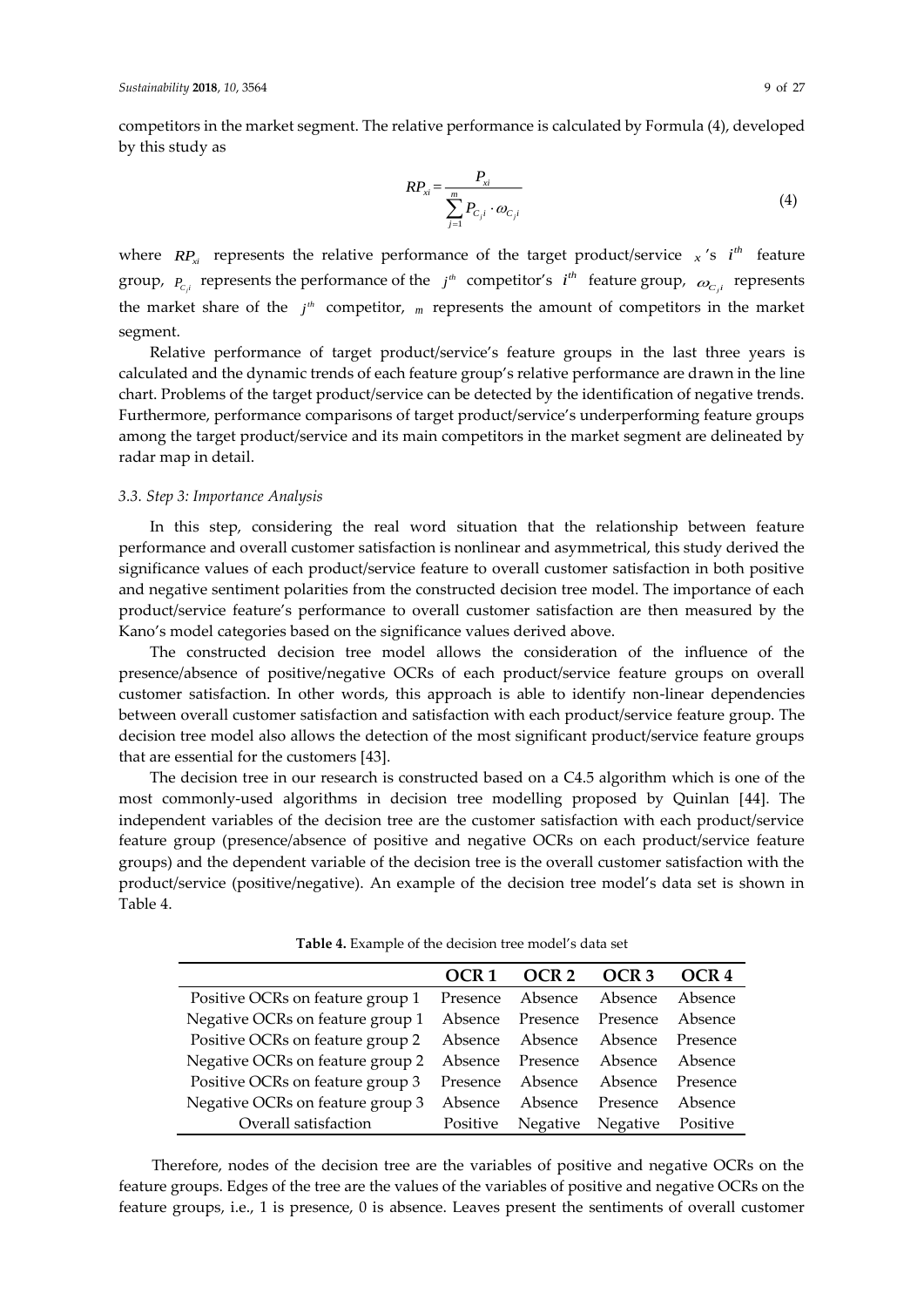competitors in the market segment. The relative performance is calculated by Formula (4), developed by this study as

$$
RP_{xi} = \frac{P_{xi}}{\sum_{j=1}^{m} P_{C_{j}i} \cdot \omega_{C_{j}i}}
$$
\n
$$
\tag{4}
$$

where  $RP_{xi}$  represents the relative performance of the target product/service x's  $i^{th}$  feature group,  $P_{C,i}$  represents the performance of the  $j<sup>th</sup>$  competitor's  $i<sup>th</sup>$  feature group,  $\omega_{C,i}$  represents the market share of the  $j^{\mu}$  competitor,  $_m$  represents the amount of competitors in the market segment.

Relative performance of target product/service's feature groups in the last three years is calculated and the dynamic trends of each feature group's relative performance are drawn in the line chart. Problems of the target product/service can be detected by the identification of negative trends. Furthermore, performance comparisons of target product/service's underperforming feature groups among the target product/service and its main competitors in the market segment are delineated by radar map in detail.

## *3.3. Step 3: Importance Analysis*

In this step, considering the real word situation that the relationship between feature performance and overall customer satisfaction is nonlinear and asymmetrical, this study derived the significance values of each product/service feature to overall customer satisfaction in both positive and negative sentiment polarities from the constructed decision tree model. The importance of each product/service feature's performance to overall customer satisfaction are then measured by the Kano's model categories based on the significance values derived above.

The constructed decision tree model allows the consideration of the influence of the presence/absence of positive/negative OCRs of each product/service feature groups on overall customer satisfaction. In other words, this approach is able to identify non-linear dependencies between overall customer satisfaction and satisfaction with each product/service feature group. The decision tree model also allows the detection of the most significant product/service feature groups that are essential for the customers [43].

The decision tree in our research is constructed based on a C4.5 algorithm which is one of the most commonly-used algorithms in decision tree modelling proposed by Quinlan [44]. The independent variables of the decision tree are the customer satisfaction with each product/service feature group (presence/absence of positive and negative OCRs on each product/service feature groups) and the dependent variable of the decision tree is the overall customer satisfaction with the product/service (positive/negative). An example of the decision tree model's data set is shown in Table 4.

|                                  | OCR <sub>1</sub> | OCR <sub>2</sub>          | OCR <sub>3</sub>  | OCR <sub>4</sub> |
|----------------------------------|------------------|---------------------------|-------------------|------------------|
| Positive OCRs on feature group 1 | Presence         | Absence Absence           |                   | Absence          |
| Negative OCRs on feature group 1 |                  | Absence Presence Presence |                   | Absence          |
| Positive OCRs on feature group 2 | Absence          | Absence Absence Presence  |                   |                  |
| Negative OCRs on feature group 2 |                  | Absence Presence Absence  |                   | Absence          |
| Positive OCRs on feature group 3 | Presence         | Absence                   | Absence Presence  |                  |
| Negative OCRs on feature group 3 | Absence          | Absence                   | Presence          | Absence          |
| Overall satisfaction             | Positive         |                           | Negative Negative | Positive         |

**Table 4.** Example of the decision tree model's data set

Therefore, nodes of the decision tree are the variables of positive and negative OCRs on the feature groups. Edges of the tree are the values of the variables of positive and negative OCRs on the feature groups, i.e., 1 is presence, 0 is absence. Leaves present the sentiments of overall customer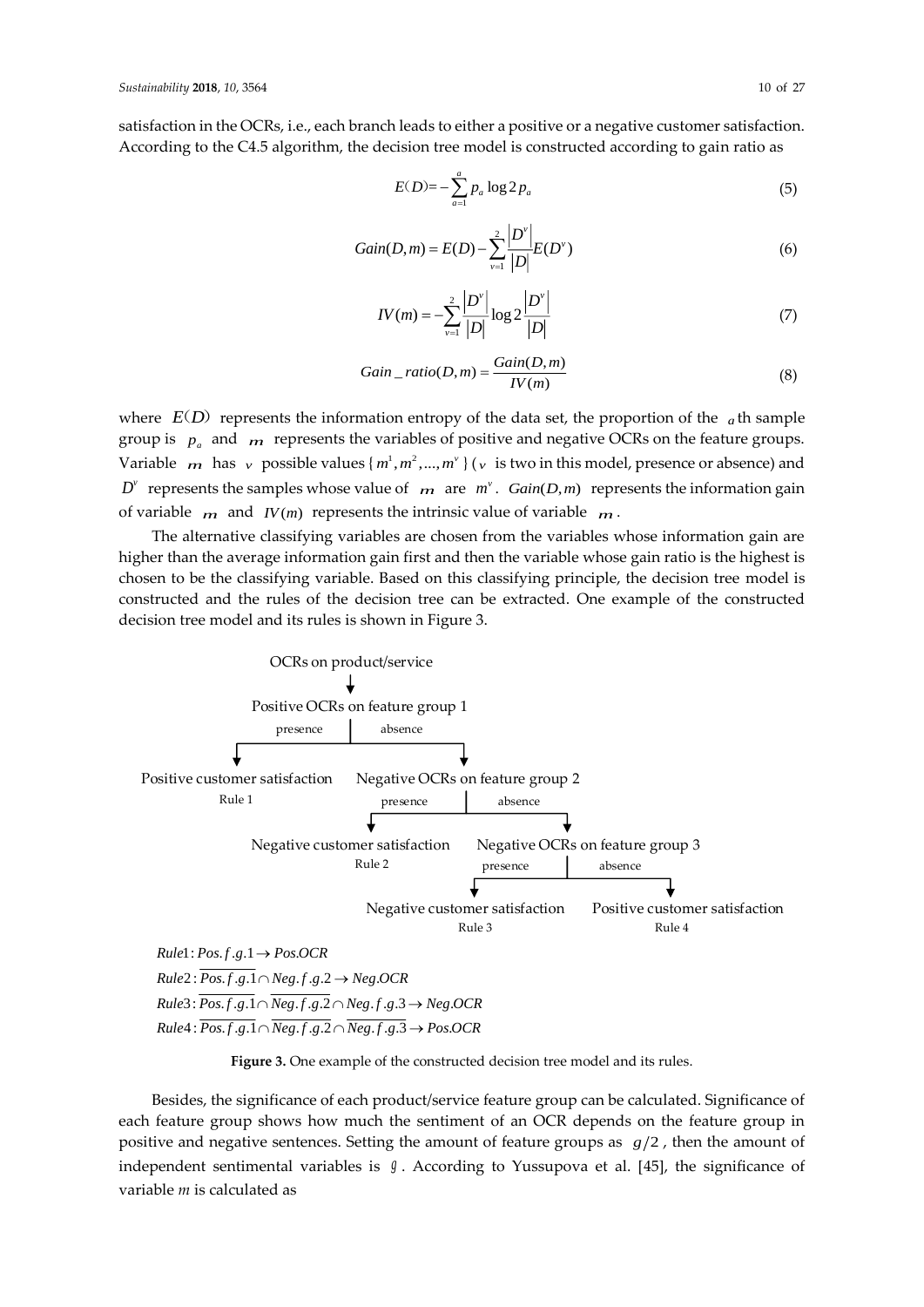satisfaction in the OCRs, i.e., each branch leads to either a positive or a negative customer satisfaction. According to the C4.5 algorithm, the decision tree model is constructed according to gain ratio as

$$
E(D) = -\sum_{a=1}^{a} p_a \log 2p_a \tag{5}
$$

$$
Gain(D, m) = E(D) - \sum_{v=1}^{2} \frac{|D^{v}|}{|D|} E(D^{v})
$$
\n(6)

$$
IV(m) = -\sum_{v=1}^{2} \frac{|D^{v}|}{|D|} \log 2 \frac{|D^{v}|}{|D|}
$$
 (7)

$$
Gain\_ratio(D, m) = \frac{Gain(D, m)}{IV(m)}
$$
\n(8)

where  $E(D)$  represents the information entropy of the data set, the proportion of the  $a$ th sample group is  $p_a$  and  $m$  represents the variables of positive and negative OCRs on the feature groups. Variable  $m$  has  $v$  possible values  $\{m^1, m^2, ..., m^v\}$  ( $v$  is two in this model, presence or absence) and  $D^{\nu}$  represents the samples whose value of  $m$  are  $m^{\nu}$ .  $Gain(D, m)$  represents the information gain of variable  $\mu$  and  $\mathit{IV}(m)$  represents the intrinsic value of variable  $\mu$ .

The alternative classifying variables are chosen from the variables whose information gain are higher than the average information gain first and then the variable whose gain ratio is the highest is chosen to be the classifying variable. Based on this classifying principle, the decision tree model is constructed and the rules of the decision tree can be extracted. One example of the constructed decision tree model and its rules is shown in Figure 3.



**Figure 3.** One example of the constructed decision tree model and its rules.

Besides, the significance of each product/service feature group can be calculated. Significance of each feature group shows how much the sentiment of an OCR depends on the feature group in positive and negative sentences. Setting the amount of feature groups as  $g/2$ , then the amount of independent sentimental variables is *g* . According to Yussupova et al. [45], the significance of variable *m* is calculated as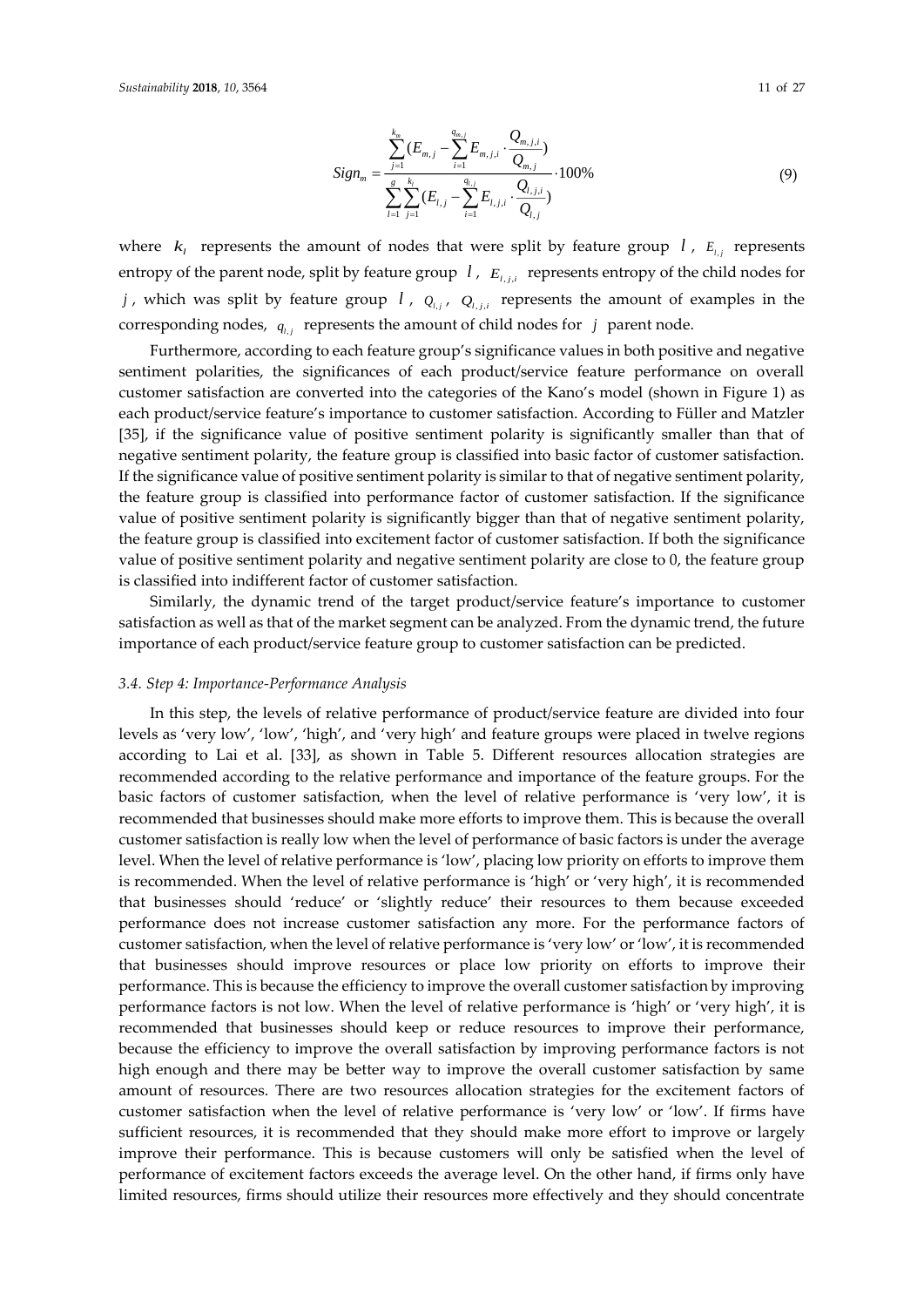$$
Sign_m = \frac{\sum_{j=1}^{k_m} (E_{m,j} - \sum_{i=1}^{q_{m,j}} E_{m,j,i} \cdot \frac{Q_{m,j,i}}{Q_{m,j}})}{\sum_{l=1}^{g} \sum_{j=1}^{k_l} (E_{l,j} - \sum_{i=1}^{q_{l,j}} E_{l,j,i} \cdot \frac{Q_{l,j,i}}{Q_{l,j}})}
$$
(9)

where  $k_i$  represents the amount of nodes that were split by feature group  $l$ ,  $E_{l,j}$  represents entropy of the parent node, split by feature group  $l$ ,  $E_{l,j,i}$  represents entropy of the child nodes for *j*, which was split by feature group *l*,  $Q_{i,j}$ ,  $Q_{i,j,i}$  represents the amount of examples in the corresponding nodes,  $q_{l,j}$  represents the amount of child nodes for  $j$  parent node.

Furthermore, according to each feature group's significance values in both positive and negative sentiment polarities, the significances of each product/service feature performance on overall customer satisfaction are converted into the categories of the Kano's model (shown in Figure 1) as each product/service feature's importance to customer satisfaction. According to Füller and Matzler [35], if the significance value of positive sentiment polarity is significantly smaller than that of negative sentiment polarity, the feature group is classified into basic factor of customer satisfaction. If the significance value of positive sentiment polarity is similar to that of negative sentiment polarity, the feature group is classified into performance factor of customer satisfaction. If the significance value of positive sentiment polarity is significantly bigger than that of negative sentiment polarity, the feature group is classified into excitement factor of customer satisfaction. If both the significance value of positive sentiment polarity and negative sentiment polarity are close to 0, the feature group is classified into indifferent factor of customer satisfaction.

Similarly, the dynamic trend of the target product/service feature's importance to customer satisfaction as well as that of the market segment can be analyzed. From the dynamic trend, the future importance of each product/service feature group to customer satisfaction can be predicted.

## *3.4. Step 4: Importance-Performance Analysis*

In this step, the levels of relative performance of product/service feature are divided into four levels as 'very low', 'low', 'high', and 'very high' and feature groups were placed in twelve regions according to Lai et al. [33], as shown in Table 5. Different resources allocation strategies are recommended according to the relative performance and importance of the feature groups. For the basic factors of customer satisfaction, when the level of relative performance is 'very low', it is recommended that businesses should make more efforts to improve them. This is because the overall customer satisfaction is really low when the level of performance of basic factors is under the average level. When the level of relative performance is 'low', placing low priority on efforts to improve them is recommended. When the level of relative performance is 'high' or 'very high', it is recommended that businesses should 'reduce' or 'slightly reduce' their resources to them because exceeded performance does not increase customer satisfaction any more. For the performance factors of customer satisfaction, when the level of relative performance is 'very low' or 'low', it is recommended that businesses should improve resources or place low priority on efforts to improve their performance. This is because the efficiency to improve the overall customer satisfaction by improving performance factors is not low. When the level of relative performance is 'high' or 'very high', it is recommended that businesses should keep or reduce resources to improve their performance, because the efficiency to improve the overall satisfaction by improving performance factors is not high enough and there may be better way to improve the overall customer satisfaction by same amount of resources. There are two resources allocation strategies for the excitement factors of customer satisfaction when the level of relative performance is 'very low' or 'low'. If firms have sufficient resources, it is recommended that they should make more effort to improve or largely improve their performance. This is because customers will only be satisfied when the level of performance of excitement factors exceeds the average level. On the other hand, if firms only have limited resources, firms should utilize their resources more effectively and they should concentrate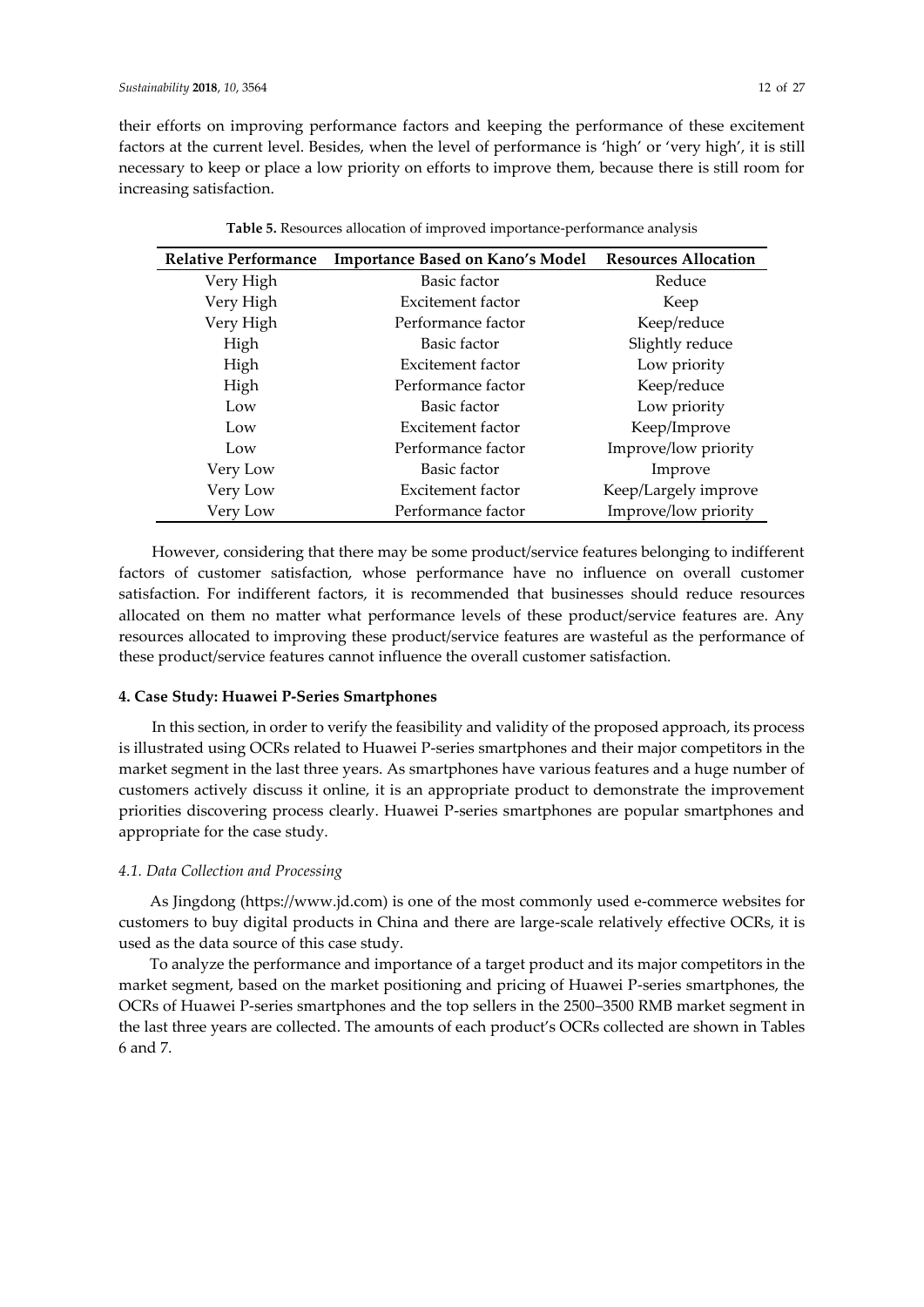#### *Sustainability* **2018**, *10*, 3564 12 of 27

their efforts on improving performance factors and keeping the performance of these excitement factors at the current level. Besides, when the level of performance is 'high' or 'very high', it is still necessary to keep or place a low priority on efforts to improve them, because there is still room for increasing satisfaction.

| <b>Relative Performance</b> | Importance Based on Kano's Model | <b>Resources Allocation</b> |
|-----------------------------|----------------------------------|-----------------------------|
| Very High                   | Basic factor                     | Reduce                      |
| Very High                   | Excitement factor                | Keep                        |
| Very High                   | Performance factor               | Keep/reduce                 |
| High                        | Basic factor                     | Slightly reduce             |
| High                        | Excitement factor                | Low priority                |
| High                        | Performance factor               | Keep/reduce                 |
| Low                         | Basic factor                     | Low priority                |
| Low                         | Excitement factor                | Keep/Improve                |
| Low                         | Performance factor               | Improve/low priority        |
| Very Low                    | Basic factor                     | Improve                     |
| Very Low                    | Excitement factor                | Keep/Largely improve        |
| Very Low                    | Performance factor               | Improve/low priority        |

**Table 5.** Resources allocation of improved importance-performance analysis

However, considering that there may be some product/service features belonging to indifferent factors of customer satisfaction, whose performance have no influence on overall customer satisfaction. For indifferent factors, it is recommended that businesses should reduce resources allocated on them no matter what performance levels of these product/service features are. Any resources allocated to improving these product/service features are wasteful as the performance of these product/service features cannot influence the overall customer satisfaction.

# **4. Case Study: Huawei P-Series Smartphones**

In this section, in order to verify the feasibility and validity of the proposed approach, its process is illustrated using OCRs related to Huawei P-series smartphones and their major competitors in the market segment in the last three years. As smartphones have various features and a huge number of customers actively discuss it online, it is an appropriate product to demonstrate the improvement priorities discovering process clearly. Huawei P-series smartphones are popular smartphones and appropriate for the case study.

# *4.1. Data Collection and Processing*

As Jingdong (https://www.jd.com) is one of the most commonly used e-commerce websites for customers to buy digital products in China and there are large-scale relatively effective OCRs, it is used as the data source of this case study.

To analyze the performance and importance of a target product and its major competitors in the market segment, based on the market positioning and pricing of Huawei P-series smartphones, the OCRs of Huawei P-series smartphones and the top sellers in the 2500–3500 RMB market segment in the last three years are collected. The amounts of each product's OCRs collected are shown in Tables 6 and 7.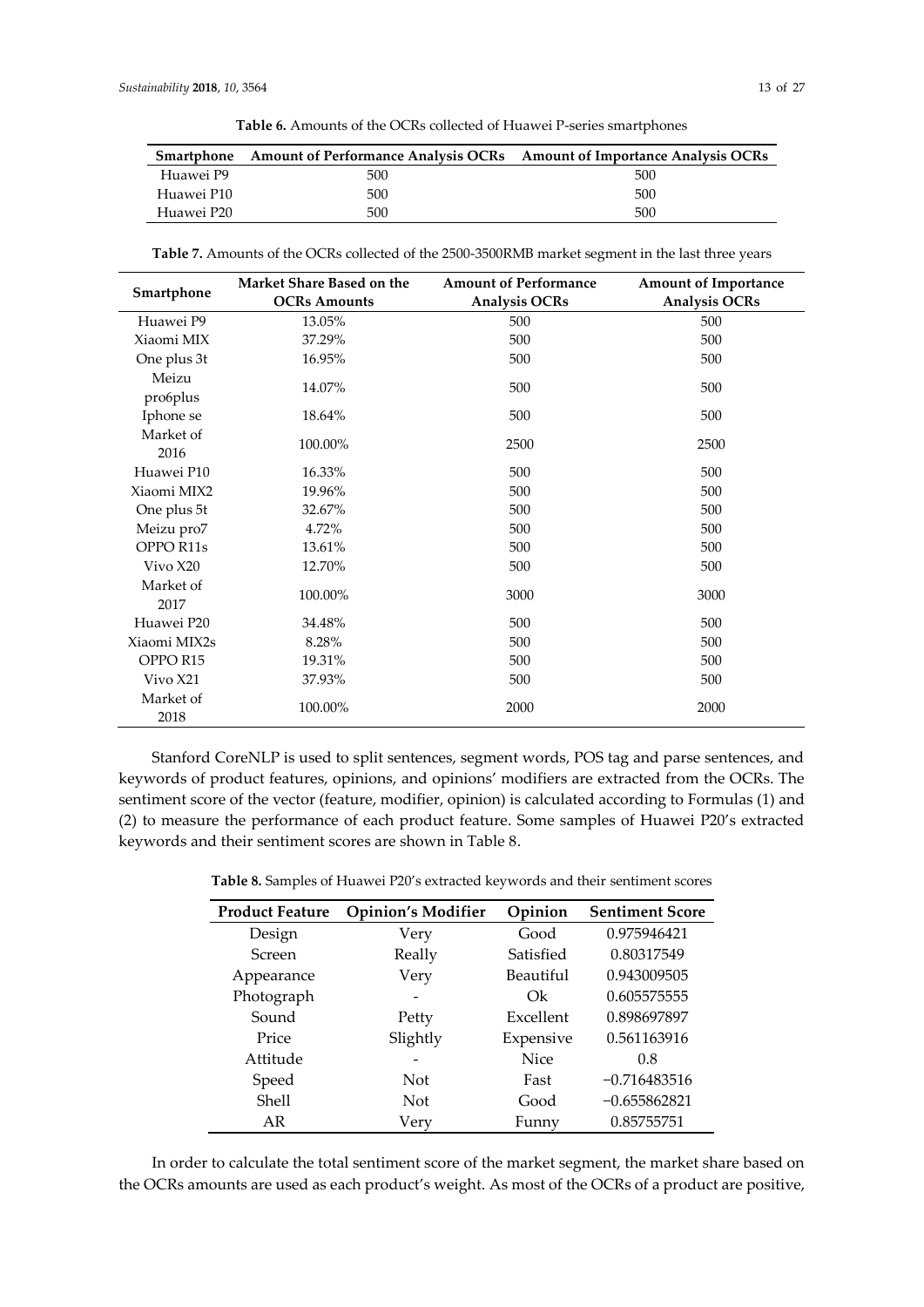| Smartphone | Amount of Performance Analysis OCRs Amount of Importance Analysis OCRs |     |
|------------|------------------------------------------------------------------------|-----|
| Huawei P9  | 500                                                                    | 500 |
| Huawei P10 | 500                                                                    | 500 |
| Huawei P20 | 500                                                                    | 500 |

**Table 6.** Amounts of the OCRs collected of Huawei P-series smartphones

**Table 7.** Amounts of the OCRs collected of the 2500-3500RMB market segment in the last three years

| Smartphone        | Market Share Based on the | <b>Amount of Performance</b> | <b>Amount of Importance</b> |
|-------------------|---------------------------|------------------------------|-----------------------------|
|                   | <b>OCRs Amounts</b>       | <b>Analysis OCRs</b>         | <b>Analysis OCRs</b>        |
| Huawei P9         | 13.05%                    | 500                          | 500                         |
| Xiaomi MIX        | 37.29%                    | 500                          | 500                         |
| One plus 3t       | 16.95%                    | 500                          | 500                         |
| Meizu<br>pro6plus | 14.07%                    | 500                          | 500                         |
| Iphone se         | 18.64%                    | 500                          | 500                         |
| Market of<br>2016 | 100.00%                   | 2500                         | 2500                        |
| Huawei P10        | 16.33%                    | 500                          | 500                         |
| Xiaomi MIX2       | 19.96%                    | 500                          | 500                         |
| One plus 5t       | 32.67%                    | 500                          | 500                         |
| Meizu pro7        | 4.72%                     | 500                          | 500                         |
| OPPO R11s         | 13.61%                    | 500                          | 500                         |
| Vivo X20          | 12.70%                    | 500                          | 500                         |
| Market of<br>2017 | 100.00%                   | 3000                         | 3000                        |
| Huawei P20        | 34.48%                    | 500                          | 500                         |
| Xiaomi MIX2s      | 8.28%                     | 500                          | 500                         |
| OPPO R15          | 19.31%                    | 500                          | 500                         |
| Vivo X21          | 37.93%                    | 500                          | 500                         |
| Market of<br>2018 | 100.00%                   | 2000                         | 2000                        |

Stanford CoreNLP is used to split sentences, segment words, POS tag and parse sentences, and keywords of product features, opinions, and opinions' modifiers are extracted from the OCRs. The sentiment score of the vector (feature, modifier, opinion) is calculated according to Formulas (1) and (2) to measure the performance of each product feature. Some samples of Huawei P20's extracted keywords and their sentiment scores are shown in Table 8.

**Table 8.** Samples of Huawei P20's extracted keywords and their sentiment scores

| <b>Product Feature</b> | <b>Opinion's Modifier</b> | Opinion   | <b>Sentiment Score</b> |
|------------------------|---------------------------|-----------|------------------------|
| Design                 | Very                      | Good      | 0.975946421            |
| Screen                 | Really                    | Satisfied | 0.80317549             |
| Appearance             | Very                      | Beautiful | 0.943009505            |
| Photograph             | $\overline{\phantom{0}}$  | Ok        | 0.605575555            |
| Sound                  | Petty                     | Excellent | 0.898697897            |
| Price                  | Slightly                  | Expensive | 0.561163916            |
| Attitude               |                           | Nice      | 0.8                    |
| Speed                  | <b>Not</b>                | Fast      | $-0.716483516$         |
| <b>Shell</b>           | Not                       | Good      | $-0.655862821$         |
| AR                     | Very                      | Funny     | 0.85755751             |

In order to calculate the total sentiment score of the market segment, the market share based on the OCRs amounts are used as each product's weight. As most of the OCRs of a product are positive,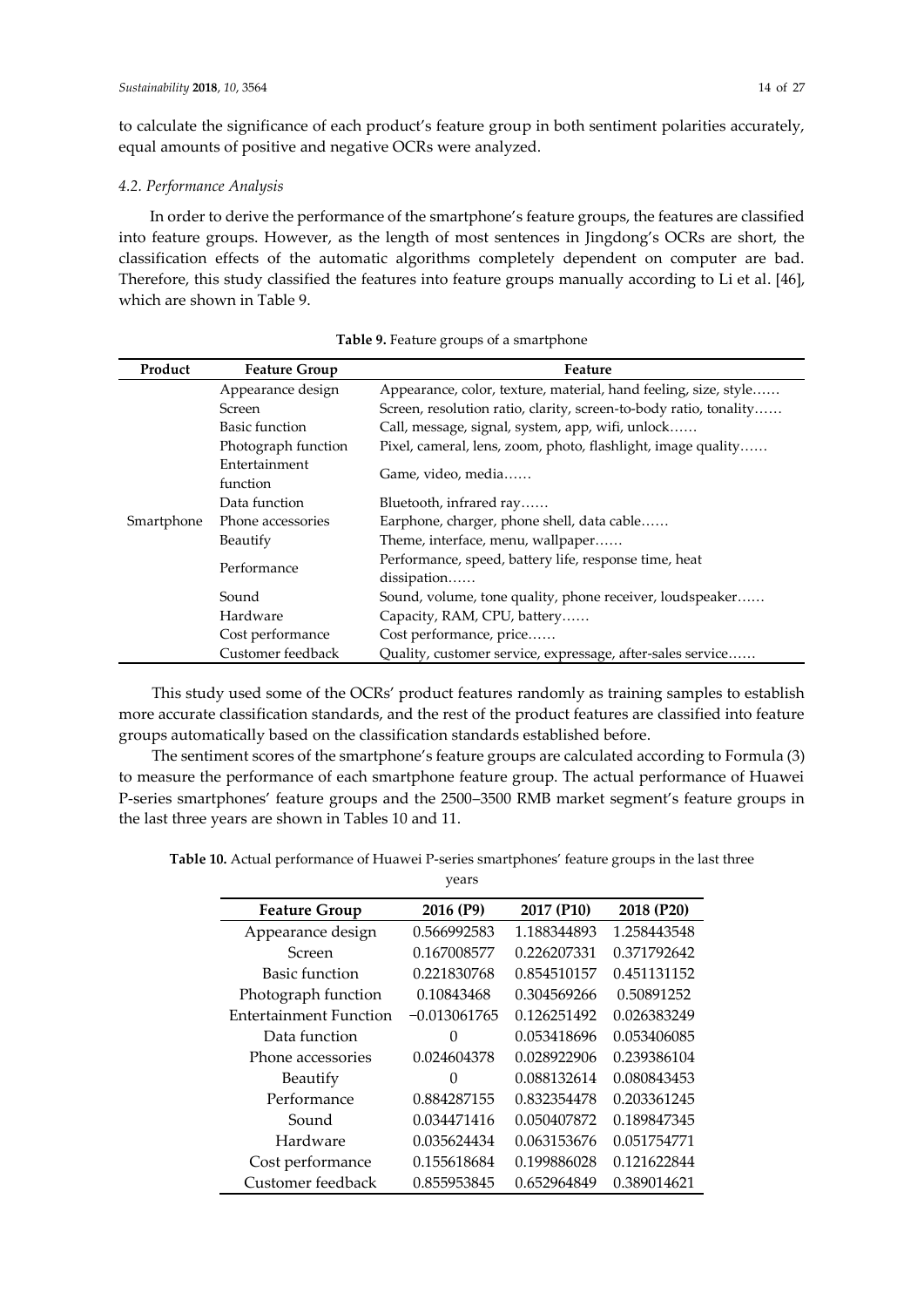to calculate the significance of each product's feature group in both sentiment polarities accurately, equal amounts of positive and negative OCRs were analyzed.

# *4.2. Performance Analysis*

In order to derive the performance of the smartphone's feature groups, the features are classified into feature groups. However, as the length of most sentences in Jingdong's OCRs are short, the classification effects of the automatic algorithms completely dependent on computer are bad. Therefore, this study classified the features into feature groups manually according to Li et al. [46], which are shown in Table 9.

| Product    | <b>Feature Group</b>      | Feature                                                              |
|------------|---------------------------|----------------------------------------------------------------------|
|            | Appearance design         | Appearance, color, texture, material, hand feeling, size, style      |
|            | Screen                    | Screen, resolution ratio, clarity, screen-to-body ratio, tonality    |
|            | Basic function            | Call, message, signal, system, app, wifi, unlock                     |
|            | Photograph function       | Pixel, cameral, lens, zoom, photo, flashlight, image quality         |
|            | Entertainment<br>function | Game, video, media                                                   |
|            | Data function             | Bluetooth, infrared ray                                              |
| Smartphone | Phone accessories         | Earphone, charger, phone shell, data cable                           |
|            | Beautify                  | Theme, interface, menu, wallpaper                                    |
|            | Performance               | Performance, speed, battery life, response time, heat<br>dissipation |
|            | Sound                     | Sound, volume, tone quality, phone receiver, loudspeaker             |
|            | Hardware                  | Capacity, RAM, CPU, battery                                          |
|            | Cost performance          | Cost performance, price                                              |
|            | Customer feedback         | Quality, customer service, expressage, after-sales service           |

|  |  |  |  | Table 9. Feature groups of a smartphone |
|--|--|--|--|-----------------------------------------|
|--|--|--|--|-----------------------------------------|

This study used some of the OCRs' product features randomly as training samples to establish more accurate classification standards, and the rest of the product features are classified into feature groups automatically based on the classification standards established before.

The sentiment scores of the smartphone's feature groups are calculated according to Formula (3) to measure the performance of each smartphone feature group. The actual performance of Huawei P-series smartphones' feature groups and the 2500–3500 RMB market segment's feature groups in the last three years are shown in Tables 10 and 11.

**Table 10.** Actual performance of Huawei P-series smartphones' feature groups in the last three

years

| <b>Feature Group</b>          | 2016 (P9)      | 2017 (P10)  | 2018 (P20)  |
|-------------------------------|----------------|-------------|-------------|
| Appearance design             | 0.566992583    | 1.188344893 | 1.258443548 |
| Screen                        | 0.167008577    | 0.226207331 | 0.371792642 |
| Basic function                | 0.221830768    | 0.854510157 | 0.451131152 |
| Photograph function           | 0.10843468     | 0.304569266 | 0.50891252  |
| <b>Entertainment Function</b> | $-0.013061765$ | 0.126251492 | 0.026383249 |
| Data function                 | 0              | 0.053418696 | 0.053406085 |
| Phone accessories             | 0.024604378    | 0.028922906 | 0.239386104 |
| Beautify                      | 0              | 0.088132614 | 0.080843453 |
| Performance                   | 0.884287155    | 0.832354478 | 0.203361245 |
| Sound                         | 0.034471416    | 0.050407872 | 0.189847345 |
| Hardware                      | 0.035624434    | 0.063153676 | 0.051754771 |
| Cost performance              | 0.155618684    | 0.199886028 | 0.121622844 |
| Customer feedback             | 0.855953845    | 0.652964849 | 0.389014621 |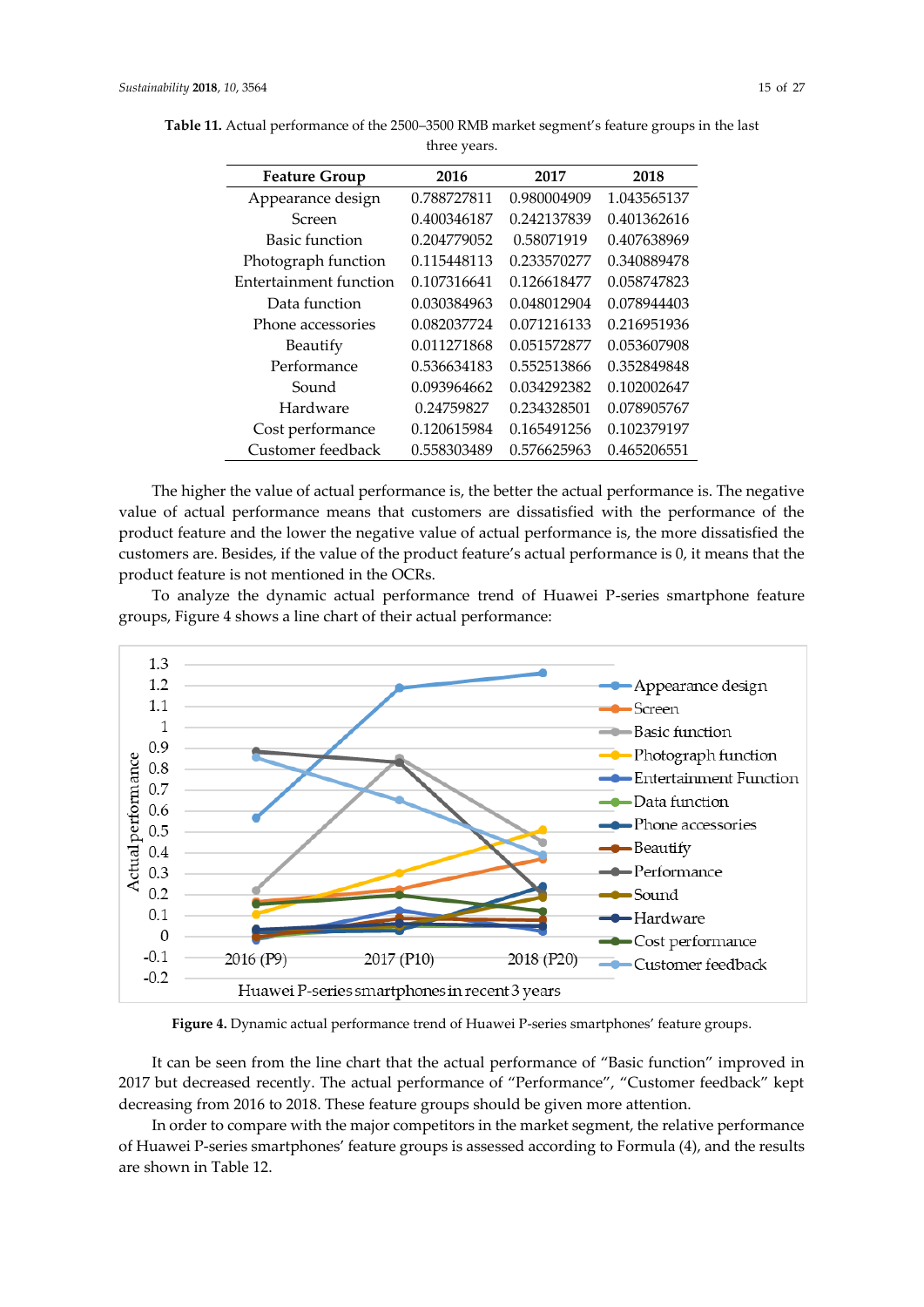| <b>Feature Group</b>   | 2016        | 2017        | 2018        |
|------------------------|-------------|-------------|-------------|
| Appearance design      | 0.788727811 | 0.980004909 | 1.043565137 |
| Screen                 | 0.400346187 | 0.242137839 | 0.401362616 |
| Basic function         | 0.204779052 | 0.58071919  | 0.407638969 |
| Photograph function    | 0.115448113 | 0.233570277 | 0.340889478 |
| Entertainment function | 0.107316641 | 0.126618477 | 0.058747823 |
| Data function          | 0.030384963 | 0.048012904 | 0.078944403 |
| Phone accessories      | 0.082037724 | 0.071216133 | 0.216951936 |
| Beautify               | 0.011271868 | 0.051572877 | 0.053607908 |
| Performance            | 0.536634183 | 0.552513866 | 0.352849848 |
| Sound                  | 0.093964662 | 0.034292382 | 0.102002647 |
| Hardware               | 0.24759827  | 0.234328501 | 0.078905767 |
| Cost performance       | 0.120615984 | 0.165491256 | 0.102379197 |

**Table 11.** Actual performance of the 2500–3500 RMB market segment's feature groups in the last three years.

The higher the value of actual performance is, the better the actual performance is. The negative value of actual performance means that customers are dissatisfied with the performance of the product feature and the lower the negative value of actual performance is, the more dissatisfied the customers are. Besides, if the value of the product feature's actual performance is 0, it means that the product feature is not mentioned in the OCRs.

Customer feedback 0.558303489 0.576625963 0.465206551

To analyze the dynamic actual performance trend of Huawei P-series smartphone feature groups, Figure 4 shows a line chart of their actual performance:



**Figure 4.** Dynamic actual performance trend of Huawei P-series smartphones' feature groups.

It can be seen from the line chart that the actual performance of "Basic function" improved in 2017 but decreased recently. The actual performance of "Performance", "Customer feedback" kept decreasing from 2016 to 2018. These feature groups should be given more attention.

In order to compare with the major competitors in the market segment, the relative performance of Huawei P-series smartphones' feature groups is assessed according to Formula (4), and the results are shown in Table 12.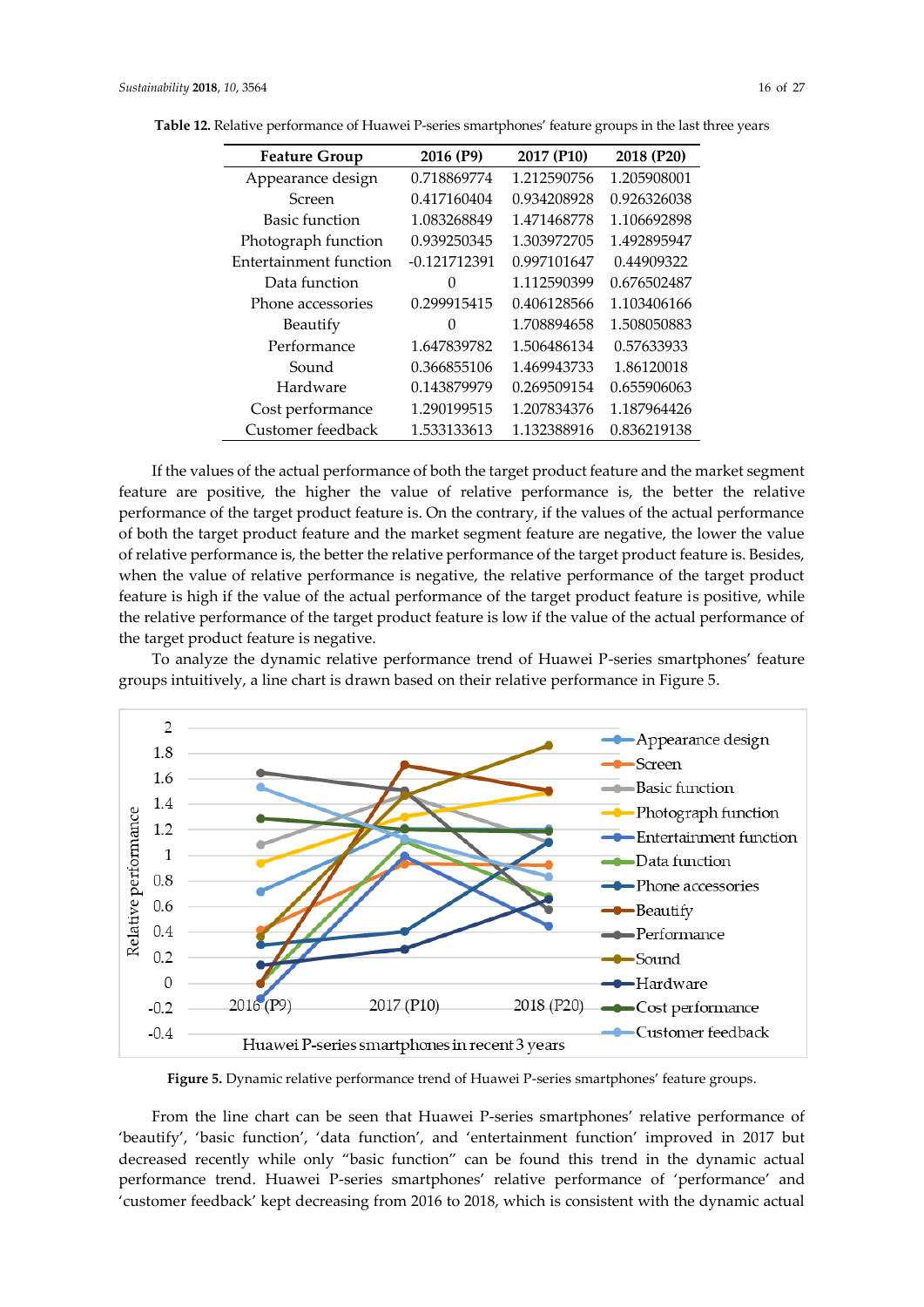| <b>Feature Group</b>   | 2016 (P9)      | 2017 (P10)  | 2018 (P20)  |
|------------------------|----------------|-------------|-------------|
| Appearance design      | 0.718869774    | 1.212590756 | 1.205908001 |
| Screen                 | 0.417160404    | 0.934208928 | 0.926326038 |
| Basic function         | 1.083268849    | 1.471468778 | 1.106692898 |
| Photograph function    | 0.939250345    | 1.303972705 | 1.492895947 |
| Entertainment function | $-0.121712391$ | 0.997101647 | 0.44909322  |
| Data function          | 0              | 1.112590399 | 0.676502487 |
| Phone accessories      | 0.299915415    | 0.406128566 | 1.103406166 |
| Beautify               | $\mathbf{0}$   | 1.708894658 | 1.508050883 |
| Performance            | 1.647839782    | 1.506486134 | 0.57633933  |
| Sound                  | 0.366855106    | 1.469943733 | 1.86120018  |
| Hardware               | 0.143879979    | 0.269509154 | 0.655906063 |
| Cost performance       | 1.290199515    | 1.207834376 | 1.187964426 |
| Customer feedback      | 1.533133613    | 1.132388916 | 0.836219138 |

**Table 12.** Relative performance of Huawei P-series smartphones' feature groups in the last three years

If the values of the actual performance of both the target product feature and the market segment feature are positive, the higher the value of relative performance is, the better the relative performance of the target product feature is. On the contrary, if the values of the actual performance of both the target product feature and the market segment feature are negative, the lower the value of relative performance is, the better the relative performance of the target product feature is. Besides, when the value of relative performance is negative, the relative performance of the target product feature is high if the value of the actual performance of the target product feature is positive, while the relative performance of the target product feature is low if the value of the actual performance of the target product feature is negative.

To analyze the dynamic relative performance trend of Huawei P-series smartphones' feature groups intuitively, a line chart is drawn based on their relative performance in Figure 5.



**Figure 5.** Dynamic relative performance trend of Huawei P-series smartphones' feature groups.

From the line chart can be seen that Huawei P-series smartphones' relative performance of 'beautify', 'basic function', 'data function', and 'entertainment function' improved in 2017 but decreased recently while only "basic function" can be found this trend in the dynamic actual performance trend. Huawei P-series smartphones' relative performance of 'performance' and 'customer feedback' kept decreasing from 2016 to 2018, which is consistent with the dynamic actual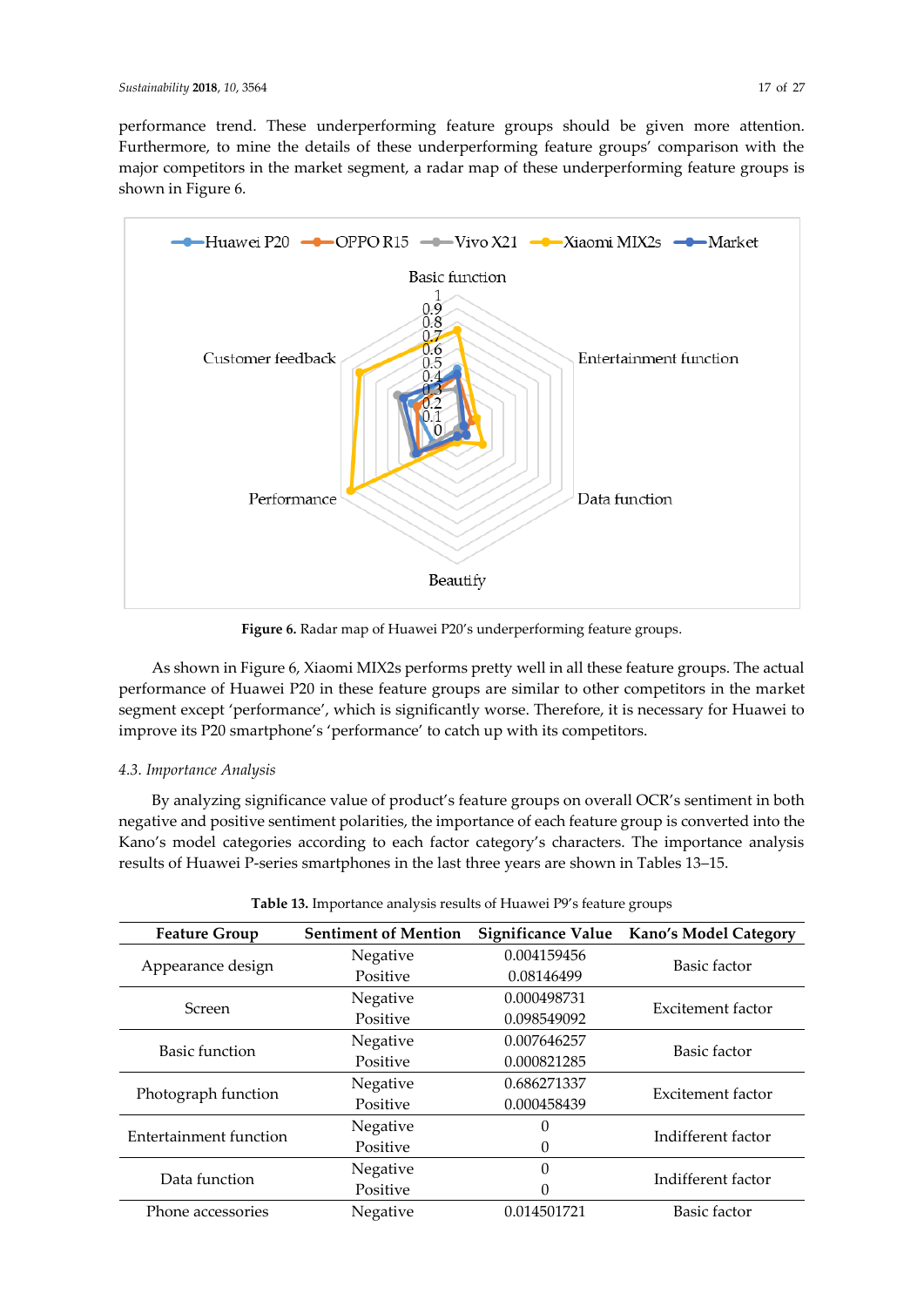performance trend. These underperforming feature groups should be given more attention. Furthermore, to mine the details of these underperforming feature groups' comparison with the major competitors in the market segment, a radar map of these underperforming feature groups is shown in Figure 6.



**Figure 6.** Radar map of Huawei P20's underperforming feature groups.

As shown in Figure 6, Xiaomi MIX2s performs pretty well in all these feature groups. The actual performance of Huawei P20 in these feature groups are similar to other competitors in the market segment except 'performance', which is significantly worse. Therefore, it is necessary for Huawei to improve its P20 smartphone's 'performance' to catch up with its competitors.

# *4.3. Importance Analysis*

By analyzing significance value of product's feature groups on overall OCR's sentiment in both negative and positive sentiment polarities, the importance of each feature group is converted into the Kano's model categories according to each factor category's characters. The importance analysis results of Huawei P-series smartphones in the last three years are shown in Tables 13–15.

| <b>Feature Group</b>   | <b>Sentiment of Mention</b> | Significance Value | Kano's Model Category |
|------------------------|-----------------------------|--------------------|-----------------------|
| Appearance design      | Negative                    | 0.004159456        | Basic factor          |
|                        | Positive                    | 0.08146499         |                       |
| Screen                 | Negative                    | 0.000498731        | Excitement factor     |
|                        | Positive                    | 0.098549092        |                       |
| Basic function         | Negative                    | 0.007646257        | Basic factor          |
|                        | Positive                    | 0.000821285        |                       |
|                        | Negative                    | 0.686271337        | Excitement factor     |
| Photograph function    | Positive                    | 0.000458439        |                       |
| Entertainment function | Negative                    | $\theta$           | Indifferent factor    |
|                        | Positive                    | 0                  |                       |
|                        | Negative                    | $\Omega$           | Indifferent factor    |
| Data function          | Positive                    |                    |                       |
| Phone accessories      | Negative                    | 0.014501721        | Basic factor          |
|                        |                             |                    |                       |

**Table 13.** Importance analysis results of Huawei P9's feature groups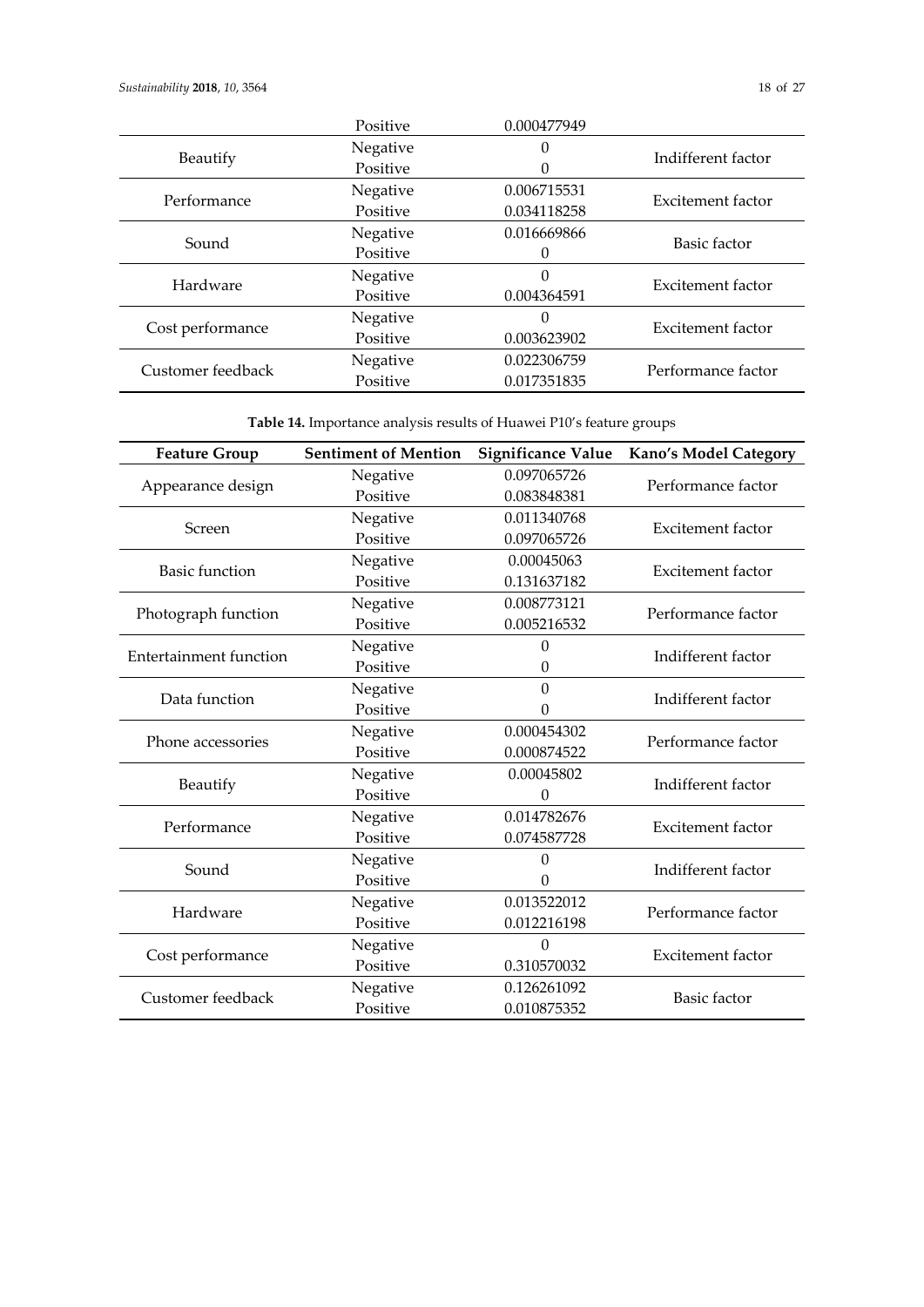|                   | Positive | 0.000477949 |                    |
|-------------------|----------|-------------|--------------------|
|                   | Negative | 0           | Indifferent factor |
| Beautify          | Positive | 0           |                    |
| Performance       | Negative | 0.006715531 | Excitement factor  |
|                   | Positive | 0.034118258 |                    |
| Sound             | Negative | 0.016669866 | Basic factor       |
|                   | Positive | 0           |                    |
| Hardware          | Negative | 0           | Excitement factor  |
|                   | Positive | 0.004364591 |                    |
|                   | Negative | 0           | Excitement factor  |
| Cost performance  | Positive | 0.003623902 |                    |
| Customer feedback | Negative | 0.022306759 |                    |
|                   | Positive | 0.017351835 | Performance factor |

**Table 14.** Importance analysis results of Huawei P10's feature groups

| <b>Feature Group</b>          | <b>Sentiment of Mention</b> | <b>Significance Value</b> | Kano's Model Category    |
|-------------------------------|-----------------------------|---------------------------|--------------------------|
|                               | Negative                    | 0.097065726               | Performance factor       |
| Appearance design             | Positive                    | 0.083848381               |                          |
| Screen                        | Negative                    | 0.011340768               | Excitement factor        |
|                               | Positive                    | 0.097065726               |                          |
| <b>Basic function</b>         | Negative                    | 0.00045063                | <b>Excitement factor</b> |
|                               | Positive                    | 0.131637182               |                          |
|                               | Negative                    | 0.008773121               | Performance factor       |
| Photograph function           | Positive                    | 0.005216532               |                          |
| <b>Entertainment function</b> | Negative                    | 0                         | Indifferent factor       |
|                               | Positive                    | 0                         |                          |
| Data function                 | Negative                    | 0                         | Indifferent factor       |
|                               | Positive                    | 0                         |                          |
| Phone accessories             | Negative                    | 0.000454302               | Performance factor       |
|                               | Positive                    | 0.000874522               |                          |
|                               | Negative                    | 0.00045802                | Indifferent factor       |
| Beautify                      | Positive                    | 0                         |                          |
|                               | Negative                    | 0.014782676               |                          |
| Performance                   | Positive                    | 0.074587728               | <b>Excitement factor</b> |
| Sound                         | Negative                    | 0                         | Indifferent factor       |
|                               | Positive                    | 0                         |                          |
| Hardware                      | Negative                    | 0.013522012               | Performance factor       |
|                               | Positive                    | 0.012216198               |                          |
|                               | Negative                    | 0                         |                          |
| Cost performance              | Positive                    | 0.310570032               | <b>Excitement factor</b> |
|                               | Negative                    | 0.126261092               |                          |
| Customer feedback             | Positive                    | 0.010875352               | <b>Basic</b> factor      |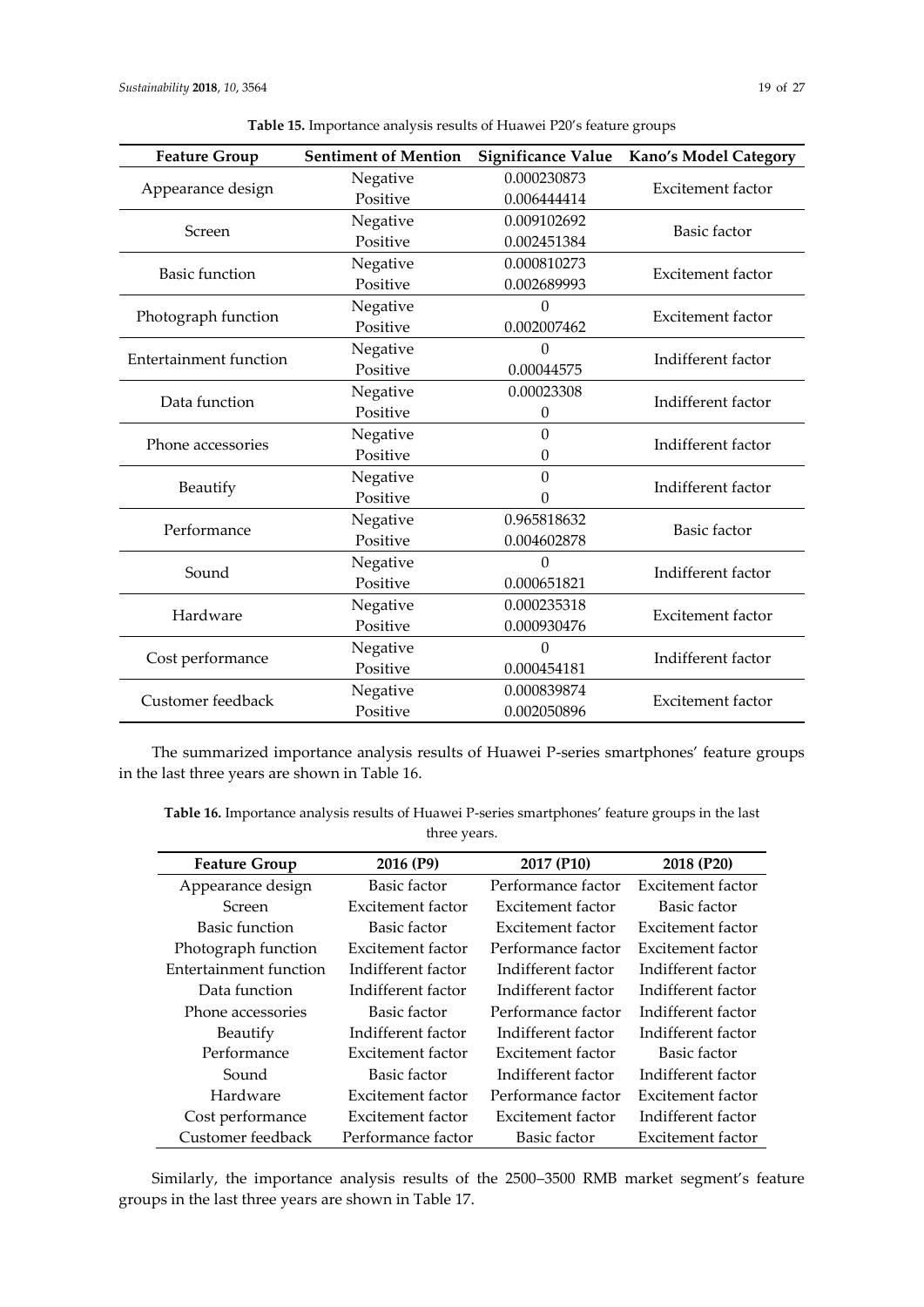| <b>Feature Group</b>   | <b>Sentiment of Mention</b> | <b>Significance Value</b> | Kano's Model Category    |
|------------------------|-----------------------------|---------------------------|--------------------------|
|                        | Negative                    | 0.000230873               | <b>Excitement factor</b> |
| Appearance design      | Positive                    | 0.006444414               |                          |
|                        | Negative                    | 0.009102692               | Basic factor             |
| Screen                 | Positive                    | 0.002451384               |                          |
| <b>Basic function</b>  | Negative                    | 0.000810273               | Excitement factor        |
|                        | Positive                    | 0.002689993               |                          |
|                        | Negative                    | 0                         | <b>Excitement factor</b> |
| Photograph function    | Positive                    | 0.002007462               |                          |
| Entertainment function | Negative                    | $\theta$                  | Indifferent factor       |
|                        | Positive                    | 0.00044575                |                          |
|                        | Negative                    | 0.00023308                | Indifferent factor       |
| Data function          | Positive                    | $\Omega$                  |                          |
|                        | Negative                    | $\theta$                  | Indifferent factor       |
| Phone accessories      | Positive                    | 0                         |                          |
|                        | Negative                    | $\theta$                  | Indifferent factor       |
| Beautify               | Positive                    | 0                         |                          |
|                        | Negative                    | 0.965818632               |                          |
| Performance            | Positive                    | 0.004602878               | <b>Basic</b> factor      |
| Sound                  | Negative                    | $\theta$                  | Indifferent factor       |
|                        | Positive                    | 0.000651821               |                          |
| Hardware               | Negative                    | 0.000235318               |                          |
|                        | Positive                    | 0.000930476               | <b>Excitement factor</b> |
|                        | Negative                    | $\Omega$                  | Indifferent factor       |
| Cost performance       | Positive                    | 0.000454181               |                          |
|                        | Negative                    | 0.000839874               |                          |
| Customer feedback      | Positive                    | 0.002050896               | <b>Excitement factor</b> |

**Table 15.** Importance analysis results of Huawei P20's feature groups

The summarized importance analysis results of Huawei P-series smartphones' feature groups in the last three years are shown in Table 16.

**Table 16.** Importance analysis results of Huawei P-series smartphones' feature groups in the last three years.

| <b>Feature Group</b>   | 2016 (P9)          | 2017 (P10)         | 2018 (P20)         |
|------------------------|--------------------|--------------------|--------------------|
| Appearance design      | Basic factor       | Performance factor | Excitement factor  |
| Screen                 | Excitement factor  | Excitement factor  | Basic factor       |
| Basic function         | Basic factor       | Excitement factor  | Excitement factor  |
| Photograph function    | Excitement factor  | Performance factor | Excitement factor  |
| Entertainment function | Indifferent factor | Indifferent factor | Indifferent factor |
| Data function          | Indifferent factor | Indifferent factor | Indifferent factor |
| Phone accessories      | Basic factor       | Performance factor | Indifferent factor |
| <b>Beautify</b>        | Indifferent factor | Indifferent factor | Indifferent factor |
| Performance            | Excitement factor  | Excitement factor  | Basic factor       |
| Sound                  | Basic factor       | Indifferent factor | Indifferent factor |
| Hardware               | Excitement factor  | Performance factor | Excitement factor  |
| Cost performance       | Excitement factor  | Excitement factor  | Indifferent factor |
| Customer feedback      | Performance factor | Basic factor       | Excitement factor  |

Similarly, the importance analysis results of the 2500–3500 RMB market segment's feature groups in the last three years are shown in Table 17.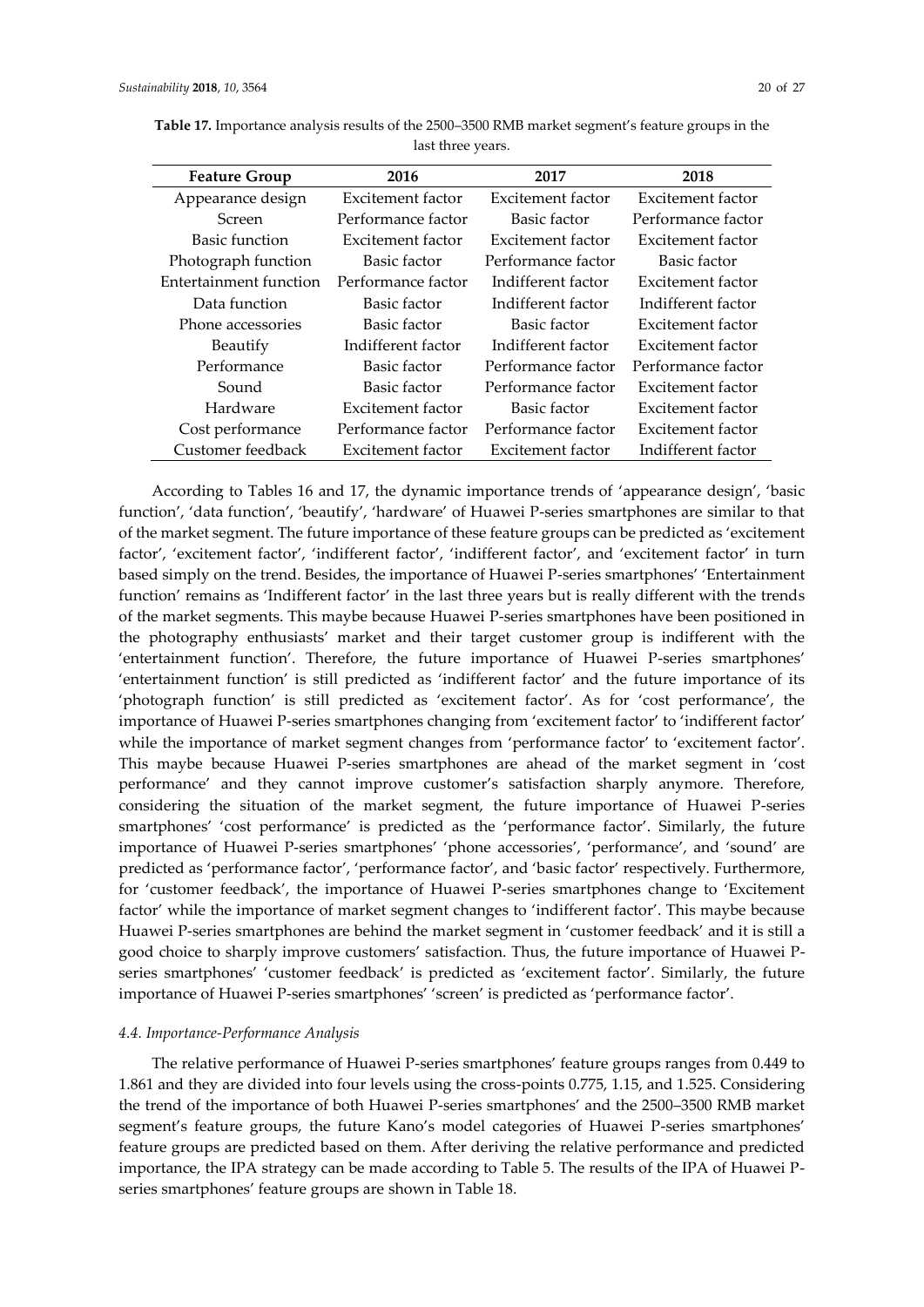| <b>Feature Group</b>   | 2016               | 2017               | 2018               |
|------------------------|--------------------|--------------------|--------------------|
| Appearance design      | Excitement factor  | Excitement factor  | Excitement factor  |
| Screen                 | Performance factor | Basic factor       | Performance factor |
| Basic function         | Excitement factor  | Excitement factor  | Excitement factor  |
| Photograph function    | Basic factor       | Performance factor | Basic factor       |
| Entertainment function | Performance factor | Indifferent factor | Excitement factor  |
| Data function          | Basic factor       | Indifferent factor | Indifferent factor |
| Phone accessories      | Basic factor       | Basic factor       | Excitement factor  |
| Beautify               | Indifferent factor | Indifferent factor | Excitement factor  |
| Performance            | Basic factor       | Performance factor | Performance factor |
| Sound                  | Basic factor       | Performance factor | Excitement factor  |
| Hardware               | Excitement factor  | Basic factor       | Excitement factor  |
| Cost performance       | Performance factor | Performance factor | Excitement factor  |
| Customer feedback      | Excitement factor  | Excitement factor  | Indifferent factor |

**Table 17.** Importance analysis results of the 2500–3500 RMB market segment's feature groups in the last three years.

According to Tables 16 and 17, the dynamic importance trends of 'appearance design', 'basic function', 'data function', 'beautify', 'hardware' of Huawei P-series smartphones are similar to that of the market segment. The future importance of these feature groups can be predicted as 'excitement factor', 'excitement factor', 'indifferent factor', 'indifferent factor', and 'excitement factor' in turn based simply on the trend. Besides, the importance of Huawei P-series smartphones' 'Entertainment function' remains as 'Indifferent factor' in the last three years but is really different with the trends of the market segments. This maybe because Huawei P-series smartphones have been positioned in the photography enthusiasts' market and their target customer group is indifferent with the 'entertainment function'. Therefore, the future importance of Huawei P-series smartphones' 'entertainment function' is still predicted as 'indifferent factor' and the future importance of its 'photograph function' is still predicted as 'excitement factor'. As for 'cost performance', the importance of Huawei P-series smartphones changing from 'excitement factor' to 'indifferent factor' while the importance of market segment changes from 'performance factor' to 'excitement factor'. This maybe because Huawei P-series smartphones are ahead of the market segment in 'cost performance' and they cannot improve customer's satisfaction sharply anymore. Therefore, considering the situation of the market segment, the future importance of Huawei P-series smartphones' 'cost performance' is predicted as the 'performance factor'. Similarly, the future importance of Huawei P-series smartphones' 'phone accessories', 'performance', and 'sound' are predicted as 'performance factor', 'performance factor', and 'basic factor' respectively. Furthermore, for 'customer feedback', the importance of Huawei P-series smartphones change to 'Excitement factor' while the importance of market segment changes to 'indifferent factor'. This maybe because Huawei P-series smartphones are behind the market segment in 'customer feedback' and it is still a good choice to sharply improve customers' satisfaction. Thus, the future importance of Huawei Pseries smartphones' 'customer feedback' is predicted as 'excitement factor'. Similarly, the future importance of Huawei P-series smartphones' 'screen' is predicted as 'performance factor'.

## *4.4. Importance-Performance Analysis*

The relative performance of Huawei P-series smartphones' feature groups ranges from 0.449 to 1.861 and they are divided into four levels using the cross-points 0.775, 1.15, and 1.525. Considering the trend of the importance of both Huawei P-series smartphones' and the 2500–3500 RMB market segment's feature groups, the future Kano's model categories of Huawei P-series smartphones' feature groups are predicted based on them. After deriving the relative performance and predicted importance, the IPA strategy can be made according to Table 5. The results of the IPA of Huawei Pseries smartphones' feature groups are shown in Table 18.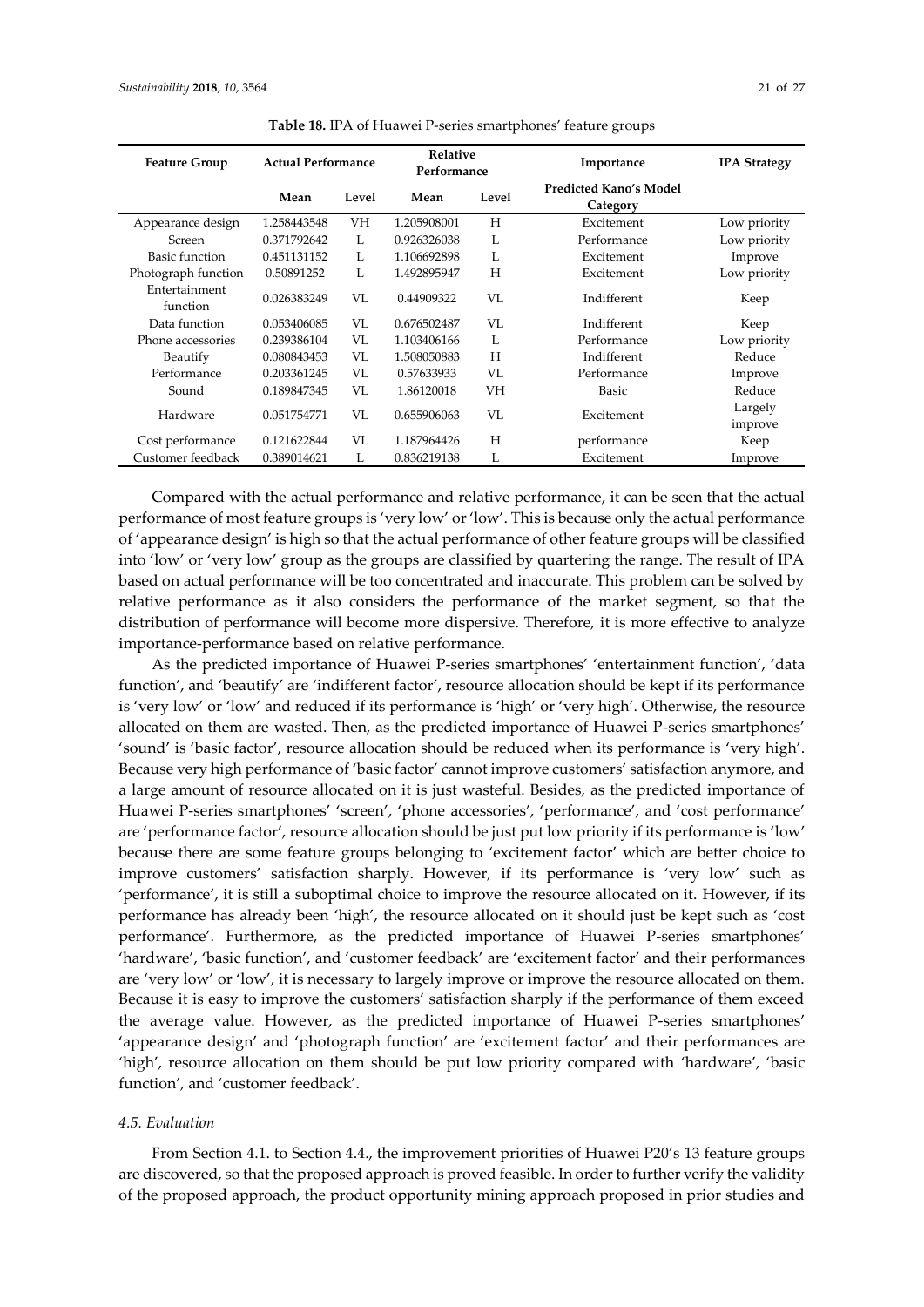| <b>Feature Group</b>      | <b>Actual Performance</b> |       | <b>Relative</b><br>Performance |       | Importance                         | <b>IPA Strategy</b> |
|---------------------------|---------------------------|-------|--------------------------------|-------|------------------------------------|---------------------|
|                           | Mean                      | Level | Mean                           | Level | Predicted Kano's Model<br>Category |                     |
| Appearance design         | 1.258443548               | VH    | 1.205908001                    | H     | Excitement                         | Low priority        |
| Screen                    | 0.371792642               | L     | 0.926326038                    | L     | Performance                        | Low priority        |
| Basic function            | 0.451131152               | L     | 1.106692898                    | L     | Excitement                         | Improve             |
| Photograph function       | 0.50891252                | L     | 1.492895947                    | H     | Excitement                         | Low priority        |
| Entertainment<br>function | 0.026383249               | VL    | 0.44909322                     | VI.   | Indifferent                        | Keep                |
| Data function             | 0.053406085               | VL    | 0.676502487                    | VL    | Indifferent                        | Keep                |
| Phone accessories         | 0.239386104               | VL    | 1.103406166                    | L.    | Performance                        | Low priority        |
| Beautify                  | 0.080843453               | VL    | 1.508050883                    | H     | Indifferent                        | Reduce              |
| Performance               | 0.203361245               | VL    | 0.57633933                     | VL    | Performance                        | Improve             |
| Sound                     | 0.189847345               | VL    | 1.86120018                     | VH.   | <b>Basic</b>                       | Reduce              |
| Hardware                  | 0.051754771               | VL    | 0.655906063                    | VL    | Excitement                         | Largely<br>improve  |
| Cost performance          | 0.121622844               | VL    | 1.187964426                    | H     | performance                        | Keep                |
| Customer feedback         | 0.389014621               | L     | 0.836219138                    | L     | Excitement                         | Improve             |

**Table 18.** IPA of Huawei P-series smartphones' feature groups

Compared with the actual performance and relative performance, it can be seen that the actual performance of most feature groups is 'very low' or 'low'. This is because only the actual performance of 'appearance design' is high so that the actual performance of other feature groups will be classified into 'low' or 'very low' group as the groups are classified by quartering the range. The result of IPA based on actual performance will be too concentrated and inaccurate. This problem can be solved by relative performance as it also considers the performance of the market segment, so that the distribution of performance will become more dispersive. Therefore, it is more effective to analyze importance-performance based on relative performance.

As the predicted importance of Huawei P-series smartphones' 'entertainment function', 'data function', and 'beautify' are 'indifferent factor', resource allocation should be kept if its performance is 'very low' or 'low' and reduced if its performance is 'high' or 'very high'. Otherwise, the resource allocated on them are wasted. Then, as the predicted importance of Huawei P-series smartphones' 'sound' is 'basic factor', resource allocation should be reduced when its performance is 'very high'. Because very high performance of 'basic factor' cannot improve customers' satisfaction anymore, and a large amount of resource allocated on it is just wasteful. Besides, as the predicted importance of Huawei P-series smartphones' 'screen', 'phone accessories', 'performance', and 'cost performance' are 'performance factor', resource allocation should be just put low priority if its performance is 'low' because there are some feature groups belonging to 'excitement factor' which are better choice to improve customers' satisfaction sharply. However, if its performance is 'very low' such as 'performance', it is still a suboptimal choice to improve the resource allocated on it. However, if its performance has already been 'high', the resource allocated on it should just be kept such as 'cost performance'. Furthermore, as the predicted importance of Huawei P-series smartphones' 'hardware', 'basic function', and 'customer feedback' are 'excitement factor' and their performances are 'very low' or 'low', it is necessary to largely improve or improve the resource allocated on them. Because it is easy to improve the customers' satisfaction sharply if the performance of them exceed the average value. However, as the predicted importance of Huawei P-series smartphones' 'appearance design' and 'photograph function' are 'excitement factor' and their performances are 'high', resource allocation on them should be put low priority compared with 'hardware', 'basic function', and 'customer feedback'.

# *4.5. Evaluation*

From Section 4.1. to Section 4.4., the improvement priorities of Huawei P20's 13 feature groups are discovered, so that the proposed approach is proved feasible. In order to further verify the validity of the proposed approach, the product opportunity mining approach proposed in prior studies and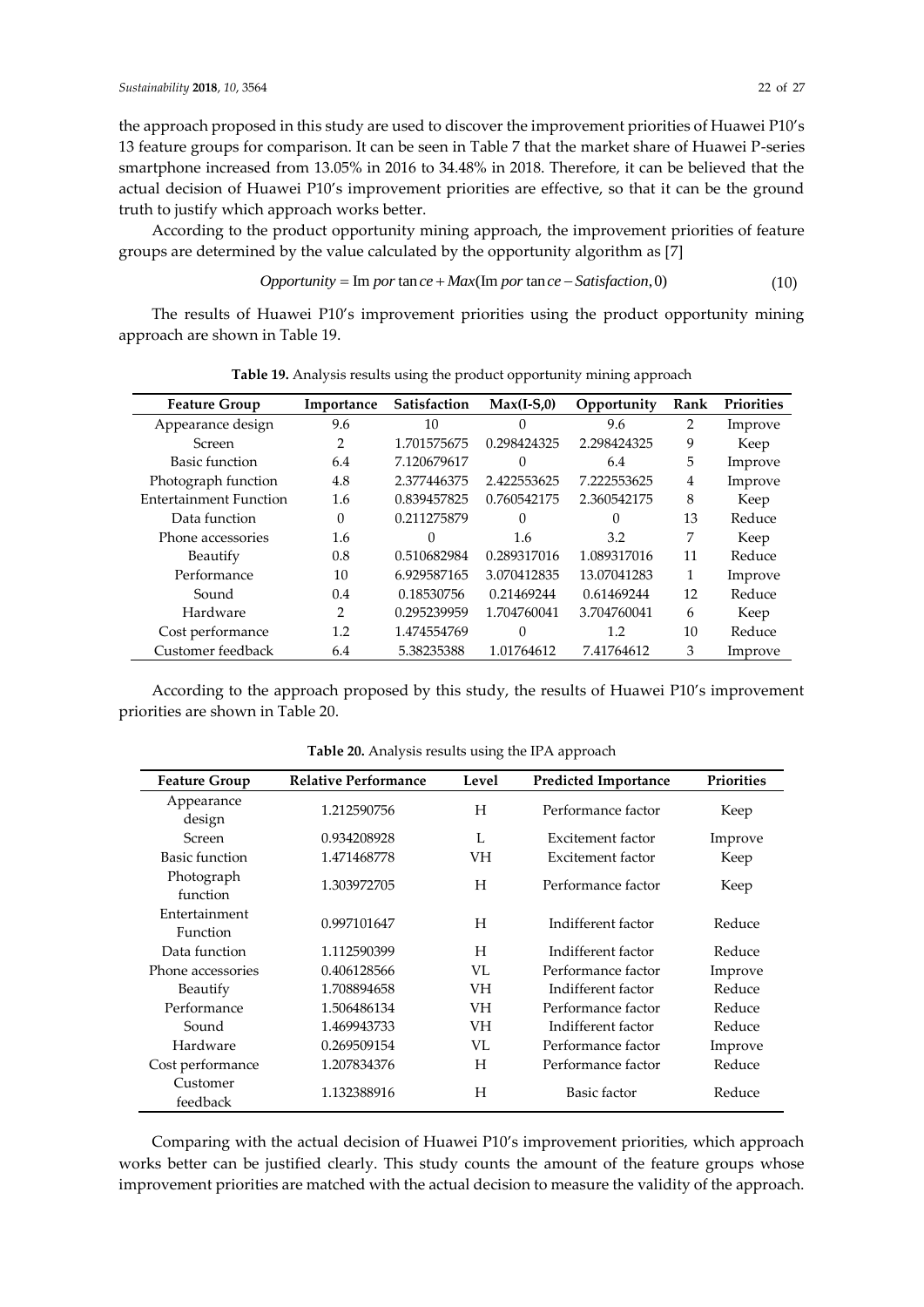the approach proposed in this study are used to discover the improvement priorities of Huawei P10's 13 feature groups for comparison. It can be seen in Table 7 that the market share of Huawei P-series smartphone increased from 13.05% in 2016 to 34.48% in 2018. Therefore, it can be believed that the actual decision of Huawei P10's improvement priorities are effective, so that it can be the ground truth to justify which approach works better.

According to the product opportunity mining approach, the improvement priorities of feature groups are determined by the value calculated by the opportunity algorithm as [7]

$$
Opportunity = Im\,por\,tan\,ce + Max(Im\,por\,tan\,ce - Satisfactor, 0)
$$
\n(10)

The results of Huawei P10's improvement priorities using the product opportunity mining approach are shown in Table 19.

| <b>Feature Group</b>          | Importance     | <b>Satisfaction</b> | $Max(I-S,0)$ | Opportunity | Rank           | <b>Priorities</b> |
|-------------------------------|----------------|---------------------|--------------|-------------|----------------|-------------------|
| Appearance design             | 9.6            | 10                  | $\Omega$     | 9.6         | 2              | Improve           |
| <b>Screen</b>                 | $\overline{2}$ | 1.701575675         | 0.298424325  | 2.298424325 | 9              | Keep              |
| Basic function                | 6.4            | 7.120679617         | $\Omega$     | 6.4         | 5              | Improve           |
| Photograph function           | 4.8            | 2.377446375         | 2.422553625  | 7.222553625 | $\overline{4}$ | Improve           |
| <b>Entertainment Function</b> | 1.6            | 0.839457825         | 0.760542175  | 2.360542175 | 8              | Keep              |
| Data function                 | $\Omega$       | 0.211275879         | 0            |             | 13             | Reduce            |
| Phone accessories             | 1.6            | 0                   | 1.6          | 3.2         | 7              | Keep              |
| Beautify                      | 0.8            | 0.510682984         | 0.289317016  | 1.089317016 | 11             | Reduce            |
| Performance                   | 10             | 6.929587165         | 3.070412835  | 13.07041283 | 1              | Improve           |
| Sound                         | 0.4            | 0.18530756          | 0.21469244   | 0.61469244  | 12             | Reduce            |
| Hardware                      | 2              | 0.295239959         | 1.704760041  | 3.704760041 | 6              | Keep              |
| Cost performance              | 1.2            | 1.474554769         | 0            | 1.2         | 10             | Reduce            |
| Customer feedback             | 6.4            | 5.38235388          | 1.01764612   | 7.41764612  | 3              | Improve           |

**Table 19.** Analysis results using the product opportunity mining approach

According to the approach proposed by this study, the results of Huawei P10's improvement priorities are shown in Table 20.

| <b>Feature Group</b>      | <b>Relative Performance</b> | Level | <b>Predicted Importance</b> | <b>Priorities</b> |
|---------------------------|-----------------------------|-------|-----------------------------|-------------------|
| Appearance<br>design      | 1.212590756                 | H     | Performance factor          | Keep              |
| Screen                    | 0.934208928                 | L     | Excitement factor           | Improve           |
| <b>Basic function</b>     | 1.471468778                 | VН    | Excitement factor           | Keep              |
| Photograph<br>function    | 1.303972705                 | H     | Performance factor          | Keep              |
| Entertainment<br>Function | 0.997101647                 | H     | Indifferent factor          | Reduce            |
| Data function             | 1.112590399                 | H     | Indifferent factor          | Reduce            |
| Phone accessories         | 0.406128566                 | VL    | Performance factor          | Improve           |
| Beautify                  | 1.708894658                 | VН    | Indifferent factor          | Reduce            |
| Performance               | 1.506486134                 | VН    | Performance factor          | Reduce            |
| Sound                     | 1.469943733                 | VН    | Indifferent factor          | Reduce            |
| Hardware                  | 0.269509154                 | VL    | Performance factor          | Improve           |
| Cost performance          | 1.207834376                 | Н     | Performance factor          | Reduce            |
| Customer<br>feedback      | 1.132388916                 | H     | Basic factor                | Reduce            |

**Table 20.** Analysis results using the IPA approach

Comparing with the actual decision of Huawei P10's improvement priorities, which approach works better can be justified clearly. This study counts the amount of the feature groups whose improvement priorities are matched with the actual decision to measure the validity of the approach.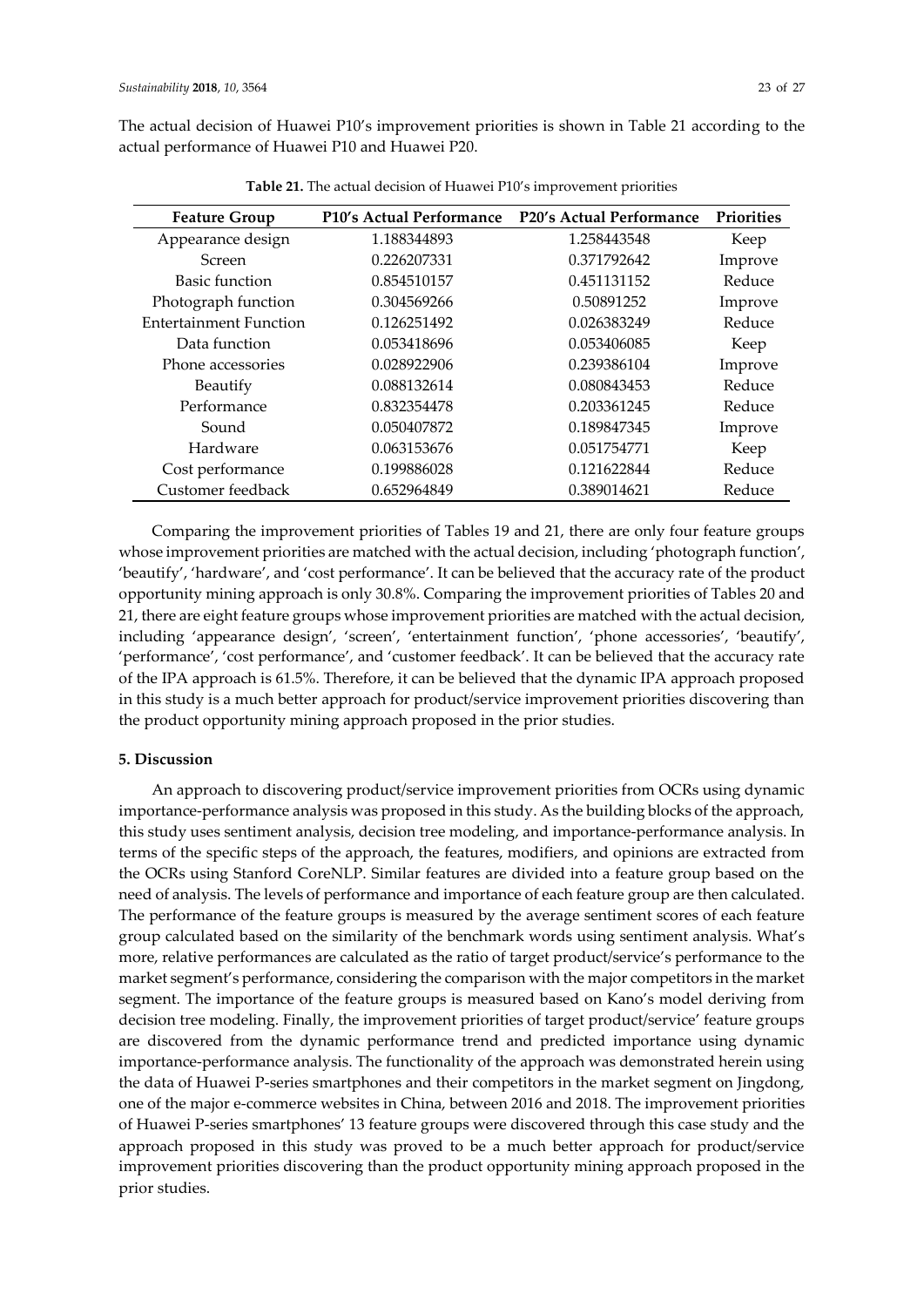The actual decision of Huawei P10's improvement priorities is shown in Table 21 according to the actual performance of Huawei P10 and Huawei P20.

| <b>Feature Group</b>   | P10's Actual Performance | P20's Actual Performance | <b>Priorities</b> |
|------------------------|--------------------------|--------------------------|-------------------|
| Appearance design      | 1.188344893              | 1.258443548              | Keep              |
| Screen                 | 0.226207331              | 0.371792642              | Improve           |
| Basic function         | 0.854510157              | 0.451131152              | Reduce            |
| Photograph function    | 0.304569266              | 0.50891252               | Improve           |
| Entertainment Function | 0.126251492              | 0.026383249              | Reduce            |
| Data function          | 0.053418696              | 0.053406085              | Keep              |
| Phone accessories      | 0.028922906              | 0.239386104              | Improve           |
| Beautify               | 0.088132614              | 0.080843453              | Reduce            |
| Performance            | 0.832354478              | 0.203361245              | Reduce            |
| Sound                  | 0.050407872              | 0.189847345              | Improve           |
| Hardware               | 0.063153676              | 0.051754771              | Keep              |
| Cost performance       | 0.199886028              | 0.121622844              | Reduce            |
| Customer feedback      | 0.652964849              | 0.389014621              | Reduce            |

**Table 21.** The actual decision of Huawei P10's improvement priorities

Comparing the improvement priorities of Tables 19 and 21, there are only four feature groups whose improvement priorities are matched with the actual decision, including 'photograph function', 'beautify', 'hardware', and 'cost performance'. It can be believed that the accuracy rate of the product opportunity mining approach is only 30.8%. Comparing the improvement priorities of Tables 20 and 21, there are eight feature groups whose improvement priorities are matched with the actual decision, including 'appearance design', 'screen', 'entertainment function', 'phone accessories', 'beautify', 'performance', 'cost performance', and 'customer feedback'. It can be believed that the accuracy rate of the IPA approach is 61.5%. Therefore, it can be believed that the dynamic IPA approach proposed in this study is a much better approach for product/service improvement priorities discovering than the product opportunity mining approach proposed in the prior studies.

# **5. Discussion**

An approach to discovering product/service improvement priorities from OCRs using dynamic importance-performance analysis was proposed in this study. As the building blocks of the approach, this study uses sentiment analysis, decision tree modeling, and importance-performance analysis. In terms of the specific steps of the approach, the features, modifiers, and opinions are extracted from the OCRs using Stanford CoreNLP. Similar features are divided into a feature group based on the need of analysis. The levels of performance and importance of each feature group are then calculated. The performance of the feature groups is measured by the average sentiment scores of each feature group calculated based on the similarity of the benchmark words using sentiment analysis. What's more, relative performances are calculated as the ratio of target product/service's performance to the market segment's performance, considering the comparison with the major competitors in the market segment. The importance of the feature groups is measured based on Kano's model deriving from decision tree modeling. Finally, the improvement priorities of target product/service' feature groups are discovered from the dynamic performance trend and predicted importance using dynamic importance-performance analysis. The functionality of the approach was demonstrated herein using the data of Huawei P-series smartphones and their competitors in the market segment on Jingdong, one of the major e-commerce websites in China, between 2016 and 2018. The improvement priorities of Huawei P-series smartphones' 13 feature groups were discovered through this case study and the approach proposed in this study was proved to be a much better approach for product/service improvement priorities discovering than the product opportunity mining approach proposed in the prior studies.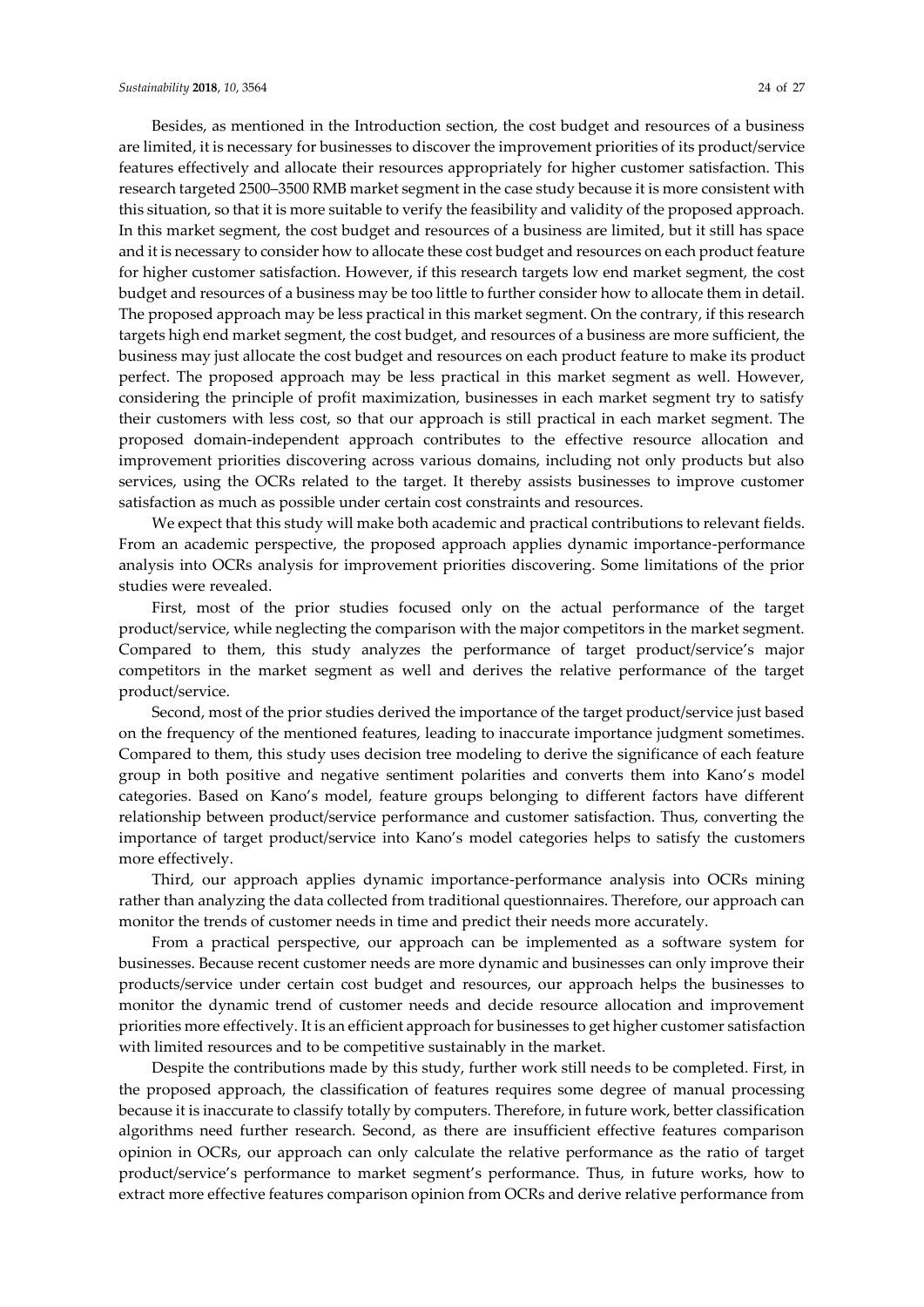Besides, as mentioned in the Introduction section, the cost budget and resources of a business are limited, it is necessary for businesses to discover the improvement priorities of its product/service features effectively and allocate their resources appropriately for higher customer satisfaction. This research targeted 2500–3500 RMB market segment in the case study because it is more consistent with this situation, so that it is more suitable to verify the feasibility and validity of the proposed approach. In this market segment, the cost budget and resources of a business are limited, but it still has space and it is necessary to consider how to allocate these cost budget and resources on each product feature for higher customer satisfaction. However, if this research targets low end market segment, the cost budget and resources of a business may be too little to further consider how to allocate them in detail. The proposed approach may be less practical in this market segment. On the contrary, if this research targets high end market segment, the cost budget, and resources of a business are more sufficient, the business may just allocate the cost budget and resources on each product feature to make its product perfect. The proposed approach may be less practical in this market segment as well. However, considering the principle of profit maximization, businesses in each market segment try to satisfy their customers with less cost, so that our approach is still practical in each market segment. The proposed domain-independent approach contributes to the effective resource allocation and improvement priorities discovering across various domains, including not only products but also services, using the OCRs related to the target. It thereby assists businesses to improve customer satisfaction as much as possible under certain cost constraints and resources.

We expect that this study will make both academic and practical contributions to relevant fields. From an academic perspective, the proposed approach applies dynamic importance-performance analysis into OCRs analysis for improvement priorities discovering. Some limitations of the prior studies were revealed.

First, most of the prior studies focused only on the actual performance of the target product/service, while neglecting the comparison with the major competitors in the market segment. Compared to them, this study analyzes the performance of target product/service's major competitors in the market segment as well and derives the relative performance of the target product/service.

Second, most of the prior studies derived the importance of the target product/service just based on the frequency of the mentioned features, leading to inaccurate importance judgment sometimes. Compared to them, this study uses decision tree modeling to derive the significance of each feature group in both positive and negative sentiment polarities and converts them into Kano's model categories. Based on Kano's model, feature groups belonging to different factors have different relationship between product/service performance and customer satisfaction. Thus, converting the importance of target product/service into Kano's model categories helps to satisfy the customers more effectively.

Third, our approach applies dynamic importance-performance analysis into OCRs mining rather than analyzing the data collected from traditional questionnaires. Therefore, our approach can monitor the trends of customer needs in time and predict their needs more accurately.

From a practical perspective, our approach can be implemented as a software system for businesses. Because recent customer needs are more dynamic and businesses can only improve their products/service under certain cost budget and resources, our approach helps the businesses to monitor the dynamic trend of customer needs and decide resource allocation and improvement priorities more effectively. It is an efficient approach for businesses to get higher customer satisfaction with limited resources and to be competitive sustainably in the market.

Despite the contributions made by this study, further work still needs to be completed. First, in the proposed approach, the classification of features requires some degree of manual processing because it is inaccurate to classify totally by computers. Therefore, in future work, better classification algorithms need further research. Second, as there are insufficient effective features comparison opinion in OCRs, our approach can only calculate the relative performance as the ratio of target product/service's performance to market segment's performance. Thus, in future works, how to extract more effective features comparison opinion from OCRs and derive relative performance from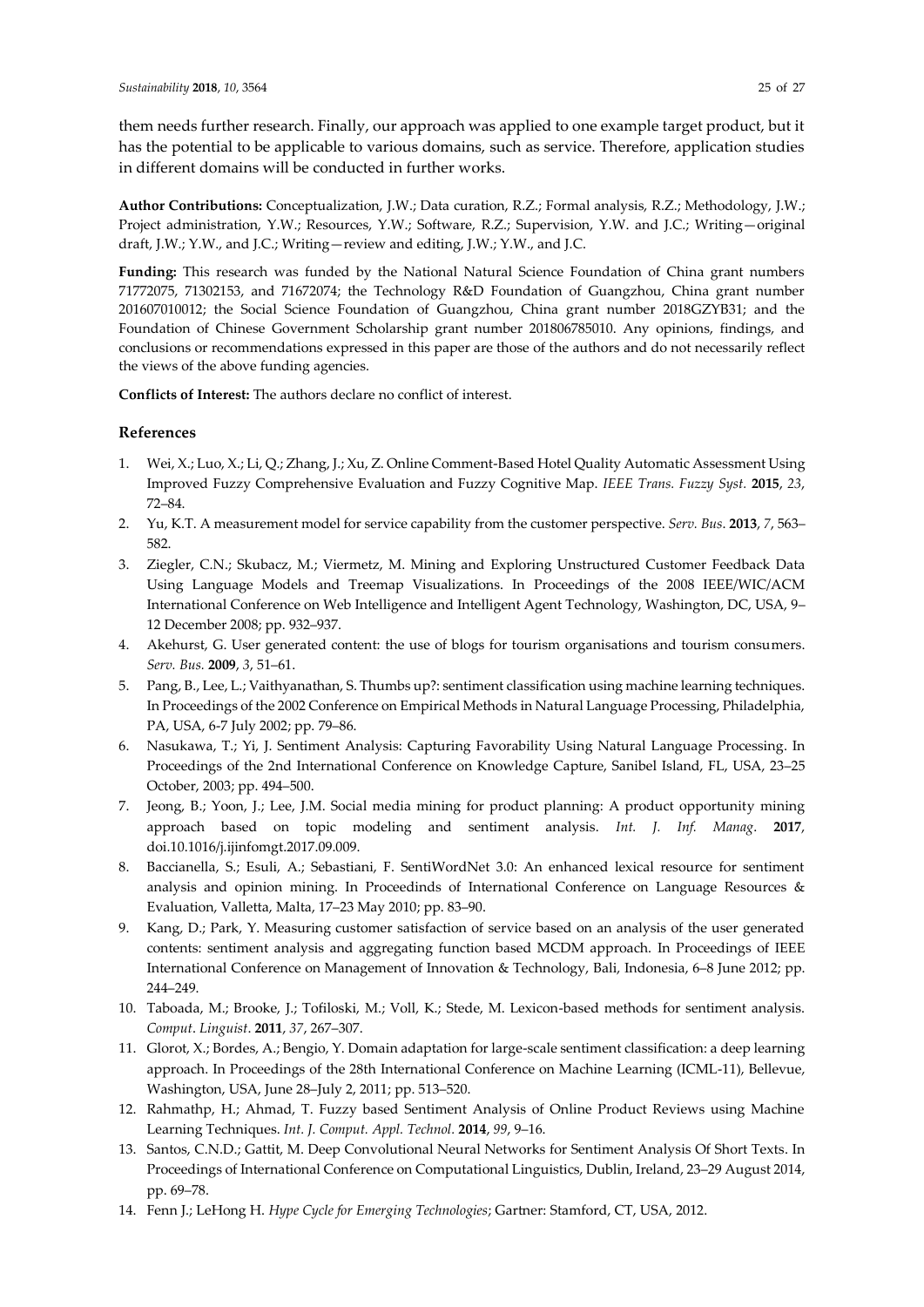them needs further research. Finally, our approach was applied to one example target product, but it has the potential to be applicable to various domains, such as service. Therefore, application studies in different domains will be conducted in further works.

**Author Contributions:** Conceptualization, J.W.; Data curation, R.Z.; Formal analysis, R.Z.; Methodology, J.W.; Project administration, Y.W.; Resources, Y.W.; Software, R.Z.; Supervision, Y.W. and J.C.; Writing—original draft, J.W.; Y.W., and J.C.; Writing—review and editing, J.W.; Y.W., and J.C.

**Funding:** This research was funded by the National Natural Science Foundation of China grant numbers 71772075, 71302153, and 71672074; the Technology R&D Foundation of Guangzhou, China grant number 201607010012; the Social Science Foundation of Guangzhou, China grant number 2018GZYB31; and the Foundation of Chinese Government Scholarship grant number 201806785010. Any opinions, findings, and conclusions or recommendations expressed in this paper are those of the authors and do not necessarily reflect the views of the above funding agencies.

**Conflicts of Interest:** The authors declare no conflict of interest.

# **References**

- 1. Wei, X.; Luo, X.; Li, Q.; Zhang, J.; Xu, Z. Online Comment-Based Hotel Quality Automatic Assessment Using Improved Fuzzy Comprehensive Evaluation and Fuzzy Cognitive Map. *IEEE Trans. Fuzzy Syst.* **2015**, *23*, 72–84.
- 2. Yu, K.T. A measurement model for service capability from the customer perspective. *Serv. Bus*. **2013**, *7*, 563– 582.
- 3. Ziegler, C.N.; Skubacz, M.; Viermetz, M. Mining and Exploring Unstructured Customer Feedback Data Using Language Models and Treemap Visualizations. In Proceedings of the 2008 IEEE/WIC/ACM International Conference on Web Intelligence and Intelligent Agent Technology, Washington, DC, USA, 9– 12 December 2008; pp. 932–937.
- 4. Akehurst, G. User generated content: the use of blogs for tourism organisations and tourism consumers. *Serv. Bus.* **2009**, *3*, 51–61.
- 5. Pang, B., Lee, L.; Vaithyanathan, S. Thumbs up?: sentiment classification using machine learning techniques. In Proceedings of the 2002 Conference on Empirical Methods in Natural Language Processing, Philadelphia, PA, USA, 6-7 July 2002; pp. 79–86.
- 6. Nasukawa, T.; Yi, J. Sentiment Analysis: Capturing Favorability Using Natural Language Processing. In Proceedings of the 2nd International Conference on Knowledge Capture, Sanibel Island, FL, USA, 23–25 October, 2003; pp. 494–500.
- 7. Jeong, B.; Yoon, J.; Lee, J.M. Social media mining for product planning: A product opportunity mining approach based on topic modeling and sentiment analysis. *Int. J. Inf. Manag*. **2017**, doi.10.1016/j.ijinfomgt.2017.09.009.
- 8. Baccianella, S.; Esuli, A.; Sebastiani, F. SentiWordNet 3.0: An enhanced lexical resource for sentiment analysis and opinion mining. In Proceedinds of International Conference on Language Resources & Evaluation, Valletta, Malta, 17–23 May 2010; pp. 83–90.
- 9. Kang, D.; Park, Y. Measuring customer satisfaction of service based on an analysis of the user generated contents: sentiment analysis and aggregating function based MCDM approach. In Proceedings of IEEE International Conference on Management of Innovation & Technology, Bali, Indonesia, 6–8 June 2012; pp. 244–249.
- 10. Taboada, M.; Brooke, J.; Tofiloski, M.; Voll, K.; Stede, M. Lexicon-based methods for sentiment analysis. *Comput*. *Linguist*. **2011**, *37*, 267–307.
- 11. Glorot, X.; Bordes, A.; Bengio, Y. Domain adaptation for large-scale sentiment classification: a deep learning approach. In Proceedings of the 28th International Conference on Machine Learning (ICML-11), Bellevue, Washington, USA, June 28–July 2, 2011; pp. 513–520.
- 12. Rahmathp, H.; Ahmad, T. Fuzzy based Sentiment Analysis of Online Product Reviews using Machine Learning Techniques. *Int. J. Comput. Appl. Technol.* **2014**, *99*, 9–16.
- 13. Santos, C.N.D.; Gattit, M. Deep Convolutional Neural Networks for Sentiment Analysis Of Short Texts. In Proceedings of International Conference on Computational Linguistics, Dublin, Ireland, 23–29 August 2014, pp. 69–78.
- 14. Fenn J.; LeHong H. *Hype Cycle for Emerging Technologies*; Gartner: Stamford, CT, USA, 2012.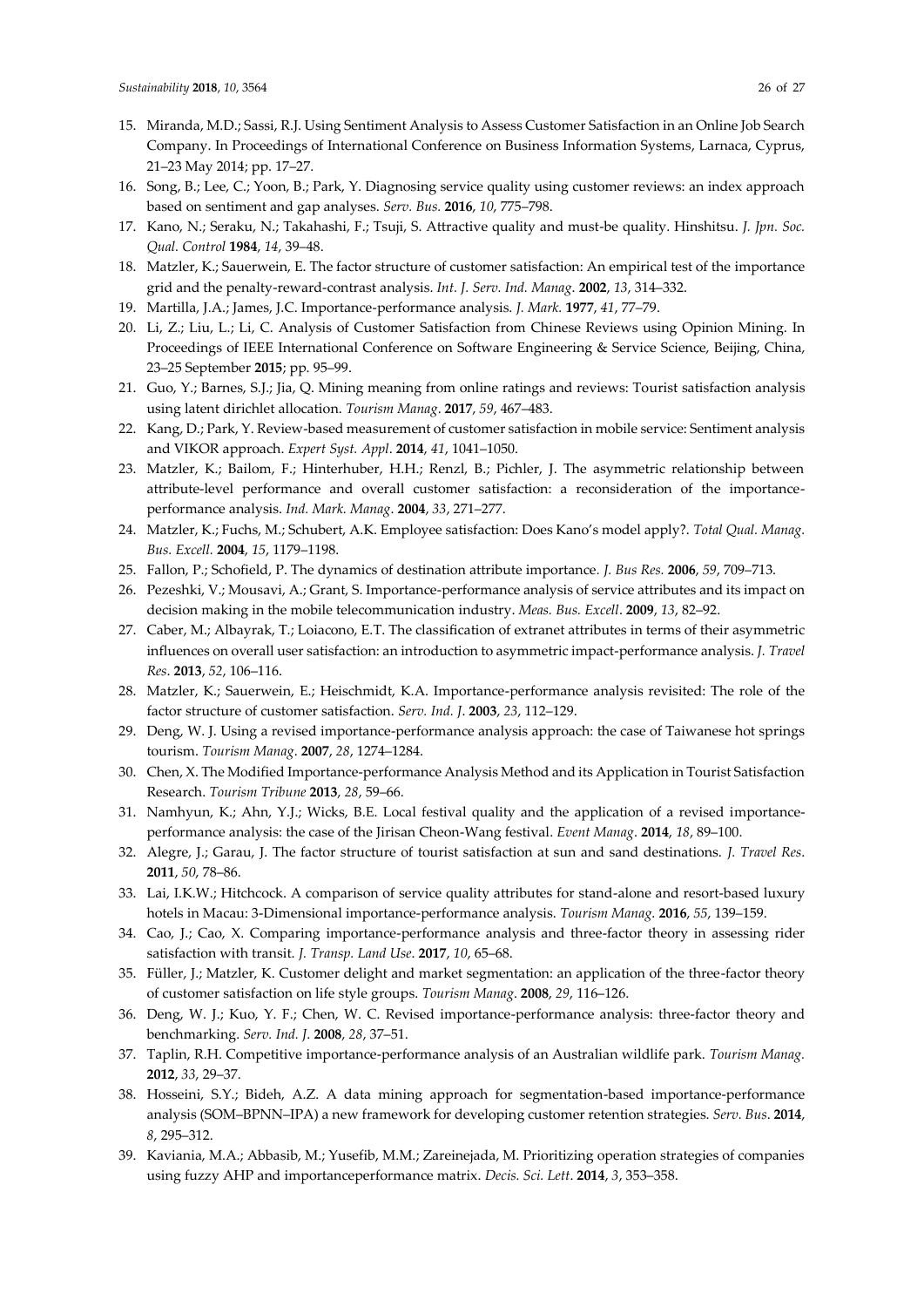- 15. Miranda, M.D.; Sassi, R.J. Using Sentiment Analysis to Assess Customer Satisfaction in an Online Job Search Company. In Proceedings of International Conference on Business Information Systems, Larnaca, Cyprus, 21–23 May 2014; pp. 17–27.
- 16. Song, B.; Lee, C.; Yoon, B.; Park, Y. Diagnosing service quality using customer reviews: an index approach based on sentiment and gap analyses. *Serv. Bus.* **2016**, *10*, 775–798.
- 17. Kano, N.; Seraku, N.; Takahashi, F.; Tsuji, S. Attractive quality and must-be quality. Hinshitsu. *J. Jpn. Soc. Qual. Control* **1984**, *14*, 39–48.
- 18. Matzler, K.; Sauerwein, E. The factor structure of customer satisfaction: An empirical test of the importance grid and the penalty-reward-contrast analysis. *Int. J. Serv. Ind. Manag*. **2002**, *13*, 314–332.
- 19. Martilla, J.A.; James, J.C. Importance-performance analysis. *J. Mark.* **1977**, *41*, 77–79.
- 20. Li, Z.; Liu, L.; Li, C. Analysis of Customer Satisfaction from Chinese Reviews using Opinion Mining. In Proceedings of IEEE International Conference on Software Engineering & Service Science, Beijing, China, 23–25 September **2015**; pp. 95–99.
- 21. Guo, Y.; Barnes, S.J.; Jia, Q. Mining meaning from online ratings and reviews: Tourist satisfaction analysis using latent dirichlet allocation. *Tourism Manag*. **2017**, *59*, 467–483.
- 22. Kang, D.; Park, Y. Review-based measurement of customer satisfaction in mobile service: Sentiment analysis and VIKOR approach. *Expert Syst. Appl*. **2014**, *41*, 1041–1050.
- 23. Matzler, K.; Bailom, F.; Hinterhuber, H.H.; Renzl, B.; Pichler, J. The asymmetric relationship between attribute-level performance and overall customer satisfaction: a reconsideration of the importanceperformance analysis. *Ind. Mark. Manag*. **2004**, *33*, 271–277.
- 24. Matzler, K.; Fuchs, M.; Schubert, A.K. Employee satisfaction: Does Kano's model apply?. *Total Qual. Manag. Bus. Excell.* **2004**, *15*, 1179–1198.
- 25. Fallon, P.; Schofield, P. The dynamics of destination attribute importance*. J. Bus Res.* **2006**, *59*, 709–713.
- 26. Pezeshki, V.; Mousavi, A.; Grant, S. Importance-performance analysis of service attributes and its impact on decision making in the mobile telecommunication industry. *Meas. Bus. Excell*. **2009**, *13*, 82–92.
- 27. Caber, M.; Albayrak, T.; Loiacono, E.T. The classification of extranet attributes in terms of their asymmetric influences on overall user satisfaction: an introduction to asymmetric impact-performance analysis. *J. Travel Res*. **2013**, *52*, 106–116.
- 28. Matzler, K.; Sauerwein, E.; Heischmidt, K.A. Importance-performance analysis revisited: The role of the factor structure of customer satisfaction. *Serv. Ind. J*. **2003**, *23*, 112–129.
- 29. Deng, W. J. Using a revised importance-performance analysis approach: the case of Taiwanese hot springs tourism. *Tourism Manag*. **2007**, *28*, 1274–1284.
- 30. Chen, X. The Modified Importance-performance Analysis Method and its Application in Tourist Satisfaction Research. *Tourism Tribune* **2013**, *28*, 59–66.
- 31. Namhyun, K.; Ahn, Y.J.; Wicks, B.E. Local festival quality and the application of a revised importanceperformance analysis: the case of the Jirisan Cheon-Wang festival. *Event Manag*. **2014**, *18*, 89–100.
- 32. Alegre, J.; Garau, J. The factor structure of tourist satisfaction at sun and sand destinations. *J. Travel Res*. **2011**, *50*, 78–86.
- 33. Lai, I.K.W.; Hitchcock. A comparison of service quality attributes for stand-alone and resort-based luxury hotels in Macau: 3-Dimensional importance-performance analysis. *Tourism Manag*. **2016**, *55*, 139–159.
- 34. Cao, J.; Cao, X. Comparing importance-performance analysis and three-factor theory in assessing rider satisfaction with transit. *J. Transp. Land Use*. **2017**, *10*, 65–68.
- 35. Füller, J.; Matzler, K. Customer delight and market segmentation: an application of the three-factor theory of customer satisfaction on life style groups. *Tourism Manag*. **2008**, *29*, 116–126.
- 36. Deng, W. J.; Kuo, Y. F.; Chen, W. C. Revised importance-performance analysis: three-factor theory and benchmarking. *Serv. Ind. J*. **2008**, *28*, 37–51.
- 37. Taplin, R.H. Competitive importance-performance analysis of an Australian wildlife park. *Tourism Manag.* **2012**, *33*, 29–37.
- 38. Hosseini, S.Y.; Bideh, A.Z. A data mining approach for segmentation-based importance-performance analysis (SOM–BPNN–IPA) a new framework for developing customer retention strategies. *Serv. Bus*. **2014**, *8*, 295–312.
- 39. Kaviania, M.A.; Abbasib, M.; Yusefib, M.M.; Zareinejada, M. Prioritizing operation strategies of companies using fuzzy AHP and importanceperformance matrix. *Decis. Sci. Lett*. **2014**, *3*, 353–358.